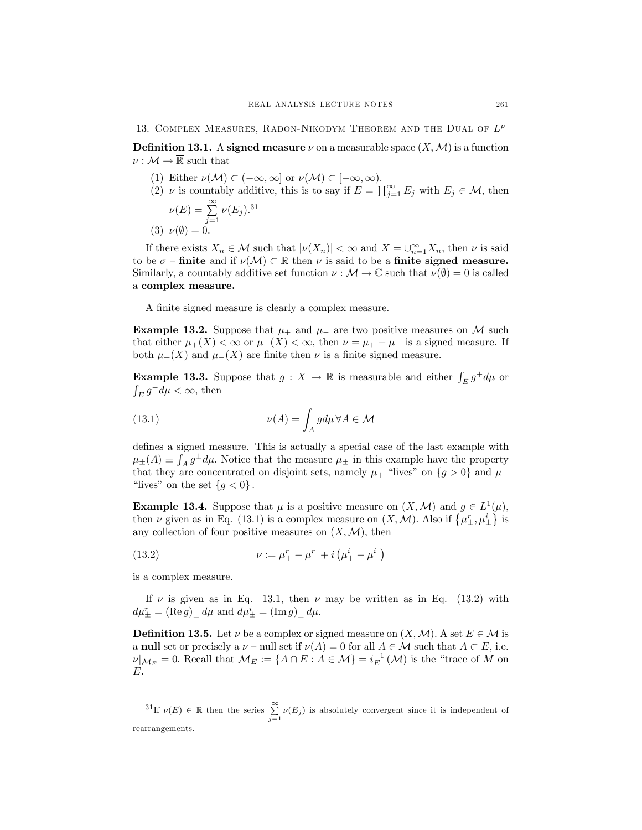13. COMPLEX MEASURES, RADON-NIKODYM THEOREM AND THE DUAL OF  $L^p$ 

**Definition 13.1.** A signed measure  $\nu$  on a measurable space  $(X, \mathcal{M})$  is a function  $\nu: \mathcal{M} \to \overline{\mathbb{R}}$  such that

- (1) Either  $\nu(\mathcal{M}) \subset (-\infty, \infty]$  or  $\nu(\mathcal{M}) \subset [-\infty, \infty)$ .
- (2)  $\nu$  is countably additive, this is to say if  $E = \coprod_{j=1}^{\infty} E_j$  with  $E_j \in \mathcal{M}$ , then ∞ 31

$$
\nu(E) = \sum_{j=1}^{\infty} \nu(E_j).
$$
  
(3) 
$$
\nu(\emptyset) = 0.
$$

If there exists  $X_n \in \mathcal{M}$  such that  $|\nu(X_n)| < \infty$  and  $X = \bigcup_{n=1}^{\infty} X_n$ , then  $\nu$  is said to be  $\sigma$  – finite and if  $\nu(\mathcal{M}) \subset \mathbb{R}$  then  $\nu$  is said to be a finite signed measure. Similarly, a countably additive set function  $\nu : \mathcal{M} \to \mathbb{C}$  such that  $\nu(\emptyset) = 0$  is called a complex measure.

A finite signed measure is clearly a complex measure.

Example 13.2. Suppose that  $\mu_+$  and  $\mu_-$  are two positive measures on M such that either  $\mu_+(X) < \infty$  or  $\mu_-(X) < \infty$ , then  $\nu = \mu_+ - \mu_-$  is a signed measure. If both  $\mu_{+}(X)$  and  $\mu_{-}(X)$  are finite then  $\nu$  is a finite signed measure.

**Example 13.3.** Suppose that  $g: X \to \overline{\mathbb{R}}$  is measurable and either  $\int_E g^+d\mu$  or  $\int_E g^-d\mu < \infty$ , then

(13.1) 
$$
\nu(A) = \int_A g d\mu \,\forall A \in \mathcal{M}
$$

defines a signed measure. This is actually a special case of the last example with  $\mu_{\pm}(A) \equiv \int_A g^{\pm} d\mu$ . Notice that the measure  $\mu_{\pm}$  in this example have the property that they are concentrated on disjoint sets, namely  $\mu$ <sup>+</sup> "lives" on {g > 0} and  $\mu$ "lives" on the set  ${g < 0}$ .

**Example 13.4.** Suppose that  $\mu$  is a positive measure on  $(X, \mathcal{M})$  and  $g \in L^1(\mu)$ , then  $\nu$  given as in Eq. (13.1) is a complex measure on  $(X, \mathcal{M})$ . Also if  $\{\mu_{\pm}^r, \mu_{\pm}^i\}$  is any collection of four positive measures on  $(X, \mathcal{M})$ , then

(13.2) 
$$
\nu := \mu_{+}^{r} - \mu_{-}^{r} + i \left( \mu_{+}^{i} - \mu_{-}^{i} \right)
$$

is a complex measure.

If  $\nu$  is given as in Eq. 13.1, then  $\nu$  may be written as in Eq. (13.2) with  $d\mu_{\pm}^r = (\text{Re } g)_{\pm} d\mu$  and  $d\mu_{\pm}^i = (\text{Im } g)_{\pm} d\mu$ .

**Definition 13.5.** Let  $\nu$  be a complex or signed measure on  $(X, \mathcal{M})$ . A set  $E \in \mathcal{M}$  is a null set or precisely a  $\nu$  – null set if  $\nu(A)=0$  for all  $A \in \mathcal{M}$  such that  $A \subset E$ , i.e.  $\nu|_{\mathcal{M}_E} = 0.$  Recall that  $\mathcal{M}_E := \{ A \cap E : A \in \mathcal{M} \} = i_E^{-1}(\mathcal{M})$  is the "trace of M on E.

<sup>31</sup>If  $\nu(E) \in \mathbb{R}$  then the series  $\sum_{n=1}^{\infty}$  $\sum_{j=1} \nu(E_j)$  is absolutely convergent since it is independent of rearrangements.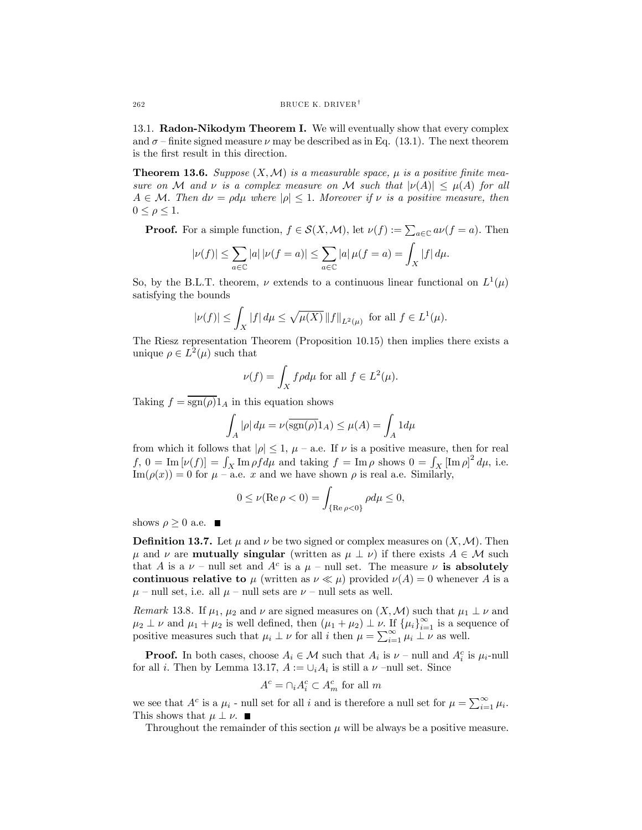13.1. Radon-Nikodym Theorem I. We will eventually show that every complex and  $\sigma$  – finite signed measure  $\nu$  may be described as in Eq. (13.1). The next theorem is the first result in this direction.

**Theorem 13.6.** Suppose  $(X, \mathcal{M})$  is a measurable space,  $\mu$  is a positive finite measure on M and v is a complex measure on M such that  $|\nu(A)| \leq \mu(A)$  for all  $A \in \mathcal{M}$ . Then  $d\nu = \rho d\mu$  where  $|\rho| \leq 1$ . Moreover if  $\nu$  is a positive measure, then  $0 \leq \rho \leq 1$ .

**Proof.** For a simple function,  $f \in \mathcal{S}(X, \mathcal{M})$ , let  $\nu(f) := \sum_{a \in \mathbb{C}} a\nu(f = a)$ . Then

$$
|\nu(f)| \leq \sum_{a \in \mathbb{C}} |a| |\nu(f = a)| \leq \sum_{a \in \mathbb{C}} |a| \mu(f = a) = \int_X |f| d\mu.
$$

So, by the B.L.T. theorem,  $\nu$  extends to a continuous linear functional on  $L^1(\mu)$ satisfying the bounds

$$
|\nu(f)| \le \int_X |f| \, d\mu \le \sqrt{\mu(X)} \, \|f\|_{L^2(\mu)} \text{ for all } f \in L^1(\mu).
$$

The Riesz representation Theorem (Proposition 10.15) then implies there exists a unique  $\rho \in L^2(\mu)$  such that

$$
\nu(f) = \int_X f \rho d\mu \text{ for all } f \in L^2(\mu).
$$

Taking  $f = \overline{\text{sgn}(\rho)} 1_A$  in this equation shows

$$
\int_A |\rho| \, d\mu = \nu(\overline{\operatorname{sgn}(\rho)} 1_A) \leq \mu(A) = \int_A 1 d\mu
$$

from which it follows that  $|\rho| \leq 1$ ,  $\mu$  – a.e. If  $\nu$  is a positive measure, then for real  $f, 0 = \text{Im}[\nu(f)] = \int_X \text{Im} \rho f d\mu$  and taking  $f = \text{Im} \rho$  shows  $0 = \int_X [\text{Im} \rho]^2 d\mu$ , i.e.  $\text{Im}(\rho(x)) = 0$  for  $\mu$  – a.e. x and we have shown  $\rho$  is real a.e. Similarly,

$$
0\leq \nu({\rm Re\,}\rho<0)=\int_{{\{\rm Re\,}\rho<0\}}\rho d\mu\leq 0,
$$

shows  $\rho \geq 0$  a.e.  $\blacksquare$ 

**Definition 13.7.** Let  $\mu$  and  $\nu$  be two signed or complex measures on  $(X, \mathcal{M})$ . Then  $\mu$  and  $\nu$  are **mutually singular** (written as  $\mu \perp \nu$ ) if there exists  $A \in \mathcal{M}$  such that A is a  $\nu$  – null set and  $A^c$  is a  $\mu$  – null set. The measure  $\nu$  is absolutely continuous relative to  $\mu$  (written as  $\nu \ll \mu$ ) provided  $\nu(A) = 0$  whenever A is a  $\mu$  – null set, i.e. all  $\mu$  – null sets are  $\nu$  – null sets as well.

Remark 13.8. If  $\mu_1$ ,  $\mu_2$  and  $\nu$  are signed measures on  $(X, \mathcal{M})$  such that  $\mu_1 \perp \nu$  and  $\mu_2 \perp \nu$  and  $\mu_1 + \mu_2$  is well defined, then  $(\mu_1 + \mu_2) \perp \nu$ . If  ${\mu_i}_{i=1}^{\infty}$  is a sequence of positive measures such that  $\mu_i \perp \nu$  for all i then  $\mu = \sum_{i=1}^{\infty} \mu_i \perp \nu$  as well.

**Proof.** In both cases, choose  $A_i \in \mathcal{M}$  such that  $A_i$  is  $\nu$  – null and  $A_i^c$  is  $\mu_i$ -null for all *i*. Then by Lemma 13.17,  $A := \bigcup_i A_i$  is still a  $\nu$  -null set. Since

$$
A^c = \cap_i A_i^c \subset A_m^c
$$
 for all m

we see that  $A^c$  is a  $\mu_i$  - null set for all i and is therefore a null set for  $\mu = \sum_{i=1}^{\infty} \mu_i$ . This shows that  $\mu \perp \nu$ .

Throughout the remainder of this section  $\mu$  will be always be a positive measure.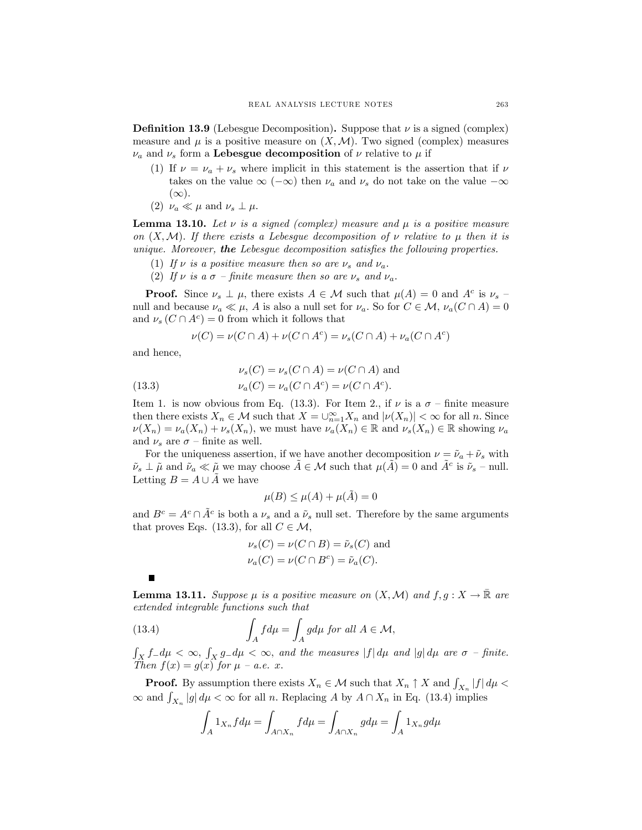**Definition 13.9** (Lebesgue Decomposition). Suppose that  $\nu$  is a signed (complex) measure and  $\mu$  is a positive measure on  $(X, \mathcal{M})$ . Two signed (complex) measures  $\nu_a$  and  $\nu_s$  form a Lebesgue decomposition of  $\nu$  relative to  $\mu$  if

- (1) If  $\nu = \nu_a + \nu_s$  where implicit in this statement is the assertion that if  $\nu$ takes on the value  $\infty$  ( $-\infty$ ) then  $\nu_a$  and  $\nu_s$  do not take on the value  $-\infty$  $(\infty)$ .
- (2)  $\nu_a \ll \mu$  and  $\nu_s \perp \mu$ .

**Lemma 13.10.** Let  $\nu$  is a signed (complex) measure and  $\mu$  is a positive measure on  $(X, \mathcal{M})$ . If there exists a Lebesgue decomposition of  $\nu$  relative to  $\mu$  then it is unique. Moreover, the Lebesgue decomposition satisfies the following properties.

- (1) If  $\nu$  is a positive measure then so are  $\nu_s$  and  $\nu_a$ .
- (2) If  $\nu$  is a  $\sigma$  finite measure then so are  $\nu_s$  and  $\nu_a$ .

**Proof.** Since  $\nu_s \perp \mu$ , there exists  $A \in \mathcal{M}$  such that  $\mu(A) = 0$  and  $A^c$  is  $\nu_s$ null and because  $\nu_a \ll \mu$ , A is also a null set for  $\nu_a$ . So for  $C \in \mathcal{M}$ ,  $\nu_a(C \cap A) = 0$ and  $\nu_s(C \cap A^c)=0$  from which it follows that

$$
\nu(C) = \nu(C \cap A) + \nu(C \cap A^{c}) = \nu_{s}(C \cap A) + \nu_{a}(C \cap A^{c})
$$

and hence,

(13.3) 
$$
\nu_s(C) = \nu_s(C \cap A) = \nu(C \cap A)
$$
 and  

$$
\nu_a(C) = \nu_a(C \cap A^c) = \nu(C \cap A^c).
$$

Item 1. is now obvious from Eq. (13.3). For Item 2., if  $\nu$  is a  $\sigma$  – finite measure then there exists  $X_n \in \mathcal{M}$  such that  $X = \bigcup_{n=1}^{\infty} X_n$  and  $|\nu(X_n)| < \infty$  for all n. Since  $\nu(X_n) = \nu_a(X_n) + \nu_s(X_n)$ , we must have  $\nu_a(X_n) \in \mathbb{R}$  and  $\nu_s(X_n) \in \mathbb{R}$  showing  $\nu_a$ and  $\nu_s$  are  $\sigma$  – finite as well.

For the uniqueness assertion, if we have another decomposition  $\nu = \tilde{\nu}_a + \tilde{\nu}_s$  with  $\tilde{\nu}_s \perp \tilde{\mu}$  and  $\tilde{\nu}_a \ll \tilde{\mu}$  we may choose  $A \in \mathcal{M}$  such that  $\mu(A) = 0$  and  $A^c$  is  $\tilde{\nu}_s$  – null. Letting  $B = A \cup \tilde{A}$  we have

$$
\mu(B) \le \mu(A) + \mu(\tilde{A}) = 0
$$

and  $B^c = A^c \cap \tilde{A}^c$  is both a  $\nu_s$  and a  $\tilde{\nu}_s$  null set. Therefore by the same arguments that proves Eqs. (13.3), for all  $C \in \mathcal{M}$ ,

$$
\nu_s(C) = \nu(C \cap B) = \tilde{\nu}_s(C) \text{ and}
$$
  

$$
\nu_a(C) = \nu(C \cap B^c) = \tilde{\nu}_a(C).
$$

**Lemma 13.11.** Suppose  $\mu$  is a positive measure on  $(X, \mathcal{M})$  and  $f, g: X \to \mathbb{R}$  are extended integrable functions such that

(13.4) 
$$
\int_{A} f d\mu = \int_{A} g d\mu \text{ for all } A \in \mathcal{M},
$$

 $\int_X f_- d\mu < \infty$ ,  $\int_X g_- d\mu < \infty$ , and the measures  $|f| d\mu$  and  $|g| d\mu$  are  $\sigma$  -finite. Then  $f(x) = g(x)$  for  $\mu - a.e.$  x.

**Proof.** By assumption there exists  $X_n \in \mathcal{M}$  such that  $X_n \uparrow X$  and  $\int_{X_n} |f| d\mu$  $\infty$  and  $\int_{X_n} |g| d\mu < \infty$  for all n. Replacing A by  $A \cap X_n$  in Eq. (13.4) implies

$$
\int_A 1_{X_n} f d\mu = \int_{A \cap X_n} f d\mu = \int_{A \cap X_n} g d\mu = \int_A 1_{X_n} g d\mu
$$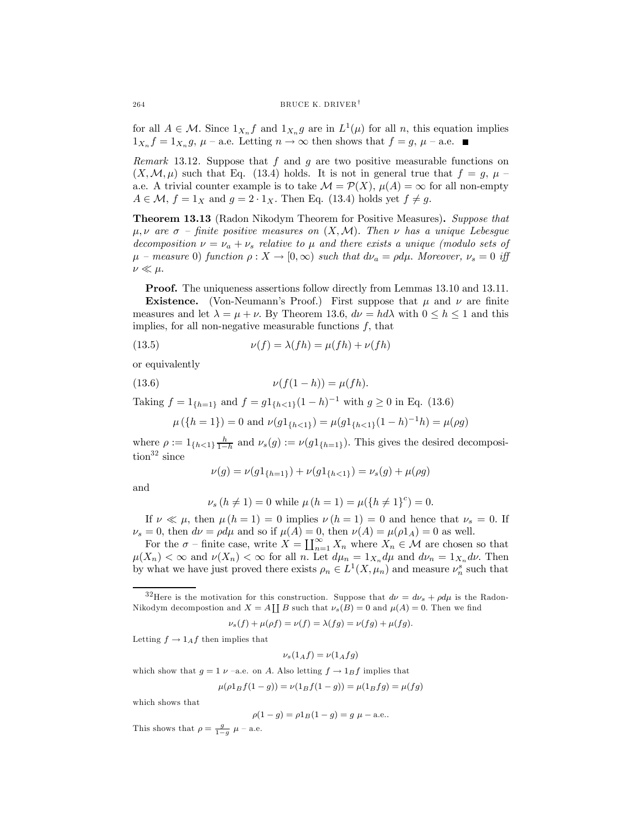for all  $A \in \mathcal{M}$ . Since  $1_{X_n} f$  and  $1_{X_n} g$  are in  $L^1(\mu)$  for all n, this equation implies  $1_{X_n} f = 1_{X_n} g, \mu$  – a.e. Letting  $n \to \infty$  then shows that  $f = g, \mu$  – a.e.

Remark 13.12. Suppose that  $f$  and  $g$  are two positive measurable functions on  $(X, \mathcal{M}, \mu)$  such that Eq. (13.4) holds. It is not in general true that  $f = g, \mu$ a.e. A trivial counter example is to take  $\mathcal{M} = \mathcal{P}(X)$ ,  $\mu(A) = \infty$  for all non-empty  $A \in \mathcal{M}, f = 1_X \text{ and } g = 2 \cdot 1_X.$  Then Eq. (13.4) holds yet  $f \neq g$ .

Theorem 13.13 (Radon Nikodym Theorem for Positive Measures). Suppose that  $\mu, \nu$  are  $\sigma$  – finite positive measures on  $(X, \mathcal{M})$ . Then  $\nu$  has a unique Lebesgue decomposition  $\nu = \nu_a + \nu_s$  relative to  $\mu$  and there exists a unique (modulo sets of  $\mu$  – measure 0) function  $\rho: X \to [0,\infty)$  such that  $d\nu_a = \rho d\mu$ . Moreover,  $\nu_s = 0$  iff  $\nu \ll \mu$ .

Proof. The uniqueness assertions follow directly from Lemmas 13.10 and 13.11. **Existence.** (Von-Neumann's Proof.) First suppose that  $\mu$  and  $\nu$  are finite measures and let  $\lambda = \mu + \nu$ . By Theorem 13.6,  $d\nu = hd\lambda$  with  $0 \leq h \leq 1$  and this implies, for all non-negative measurable functions  $f$ , that

(13.5) 
$$
\nu(f) = \lambda(fh) = \mu(fh) + \nu(fh)
$$

or equivalently

(13.6) 
$$
\nu(f(1-h)) = \mu(fh).
$$

Taking  $f = 1_{\{h=1\}}$  and  $f = g1_{\{h<1\}}(1-h)^{-1}$  with  $g \ge 0$  in Eq. (13.6)

$$
\mu({h = 1}) = 0
$$
 and  $\nu(g1_{{h < 1}}) = \mu(g1_{{h < 1}}(1 - h)^{-1}h) = \mu(\rho g)$ 

where  $\rho := 1_{\{h<1\}\frac{h}{1-h}}$  and  $\nu_s(g) := \nu(g1_{\{h=1\}})$ . This gives the desired decomposi- $\text{tion}^{32}$  since

$$
\nu(g) = \nu(g1_{\{h=1\}}) + \nu(g1_{\{h<1\}}) = \nu_s(g) + \mu(\rho g)
$$

and

$$
\nu_s (h \neq 1) = 0
$$
 while  $\mu (h = 1) = \mu (\lbrace h \neq 1 \rbrace^c) = 0$ .

If  $\nu \ll \mu$ , then  $\mu (h = 1) = 0$  implies  $\nu (h = 1) = 0$  and hence that  $\nu_s = 0$ . If  $\nu_s = 0$ , then  $d\nu = \rho d\mu$  and so if  $\mu(A) = 0$ , then  $\nu(A) = \mu(\rho 1_A) = 0$  as well.

For the  $\sigma$  – finite case, write  $X = \coprod_{n=1}^{\infty} X_n$  where  $X_n \in \mathcal{M}$  are chosen so that  $\mu(X_n) < \infty$  and  $\nu(X_n) < \infty$  for all *n*. Let  $d\mu_n = 1_{X_n} d\mu$  and  $d\nu_n = 1_{X_n} d\nu$ . Then by what we have just proved there exists  $\rho_n \in L^1(X, \mu_n)$  and measure  $\nu_n^s$  such that

<sup>32</sup>Here is the motivation for this construction. Suppose that  $d\nu = d\nu_s + \rho d\mu$  is the Radon-Nikodym decompostion and  $X = A \coprod B$  such that  $\nu_s(B) = 0$  and  $\mu(A) = 0$ . Then we find

$$
\nu_s(f) + \mu(\rho f) = \nu(f) = \lambda(fg) = \nu(fg) + \mu(fg).
$$

Letting  $f \rightarrow 1_A f$  then implies that

$$
\nu_s(1_Af) = \nu(1_Afg)
$$

which show that  $g = 1 \nu$  –a.e. on A. Also letting  $f \rightarrow 1_B f$  implies that

$$
\mu(\rho 1_B f(1-g)) = \nu(1_B f(1-g)) = \mu(1_B fg) = \mu(fg)
$$

which shows that

$$
\rho(1-g) = \rho 1_B(1-g) = g \mu - \text{a.e.}.
$$

This shows that  $\rho = \frac{g}{1-g} \mu$  – a.e.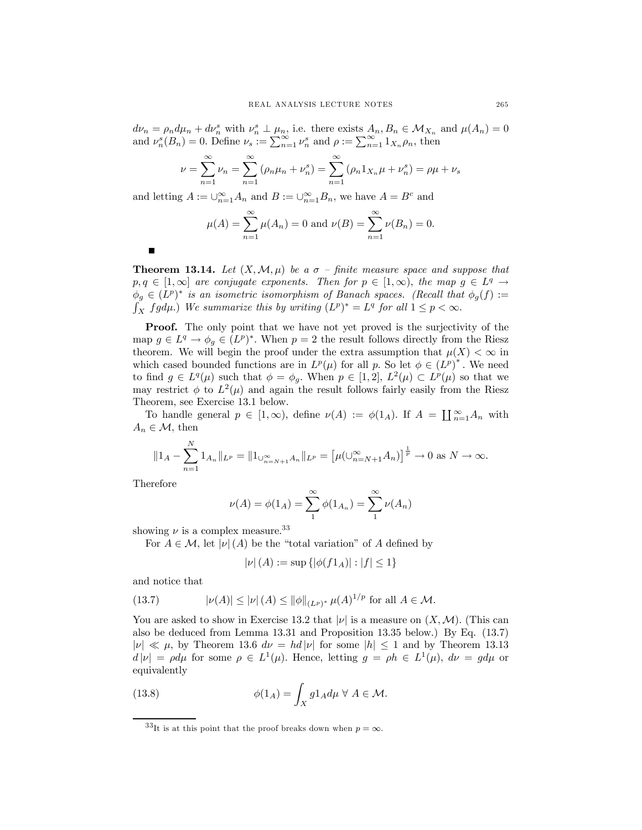$d\nu_n = \rho_n d\mu_n + d\nu_n^s$  with  $\nu_n^s \perp \mu_n$ , i.e. there exists  $A_n, B_n \in \mathcal{M}_{X_n}$  and  $\mu(A_n) = 0$ and  $\nu_n^s(B_n) = 0$ . Define  $\nu_s := \sum_{n=1}^{\infty} \nu_n^s$  and  $\rho := \sum_{n=1}^{\infty} 1_{X_n} \rho_n$ , then

$$
\nu = \sum_{n=1}^{\infty} \nu_n = \sum_{n=1}^{\infty} (\rho_n \mu_n + \nu_n^s) = \sum_{n=1}^{\infty} (\rho_n 1_{X_n} \mu + \nu_n^s) = \rho \mu + \nu_s
$$

and letting  $A := \bigcup_{n=1}^{\infty} A_n$  and  $B := \bigcup_{n=1}^{\infty} B_n$ , we have  $A = B^c$  and

$$
\mu(A) = \sum_{n=1}^{\infty} \mu(A_n) = 0
$$
 and  $\nu(B) = \sum_{n=1}^{\infty} \nu(B_n) = 0$ .

**Theorem 13.14.** Let  $(X, \mathcal{M}, \mu)$  be a  $\sigma$  – finite measure space and suppose that  $p, q \in [1, \infty]$  are conjugate exponents. Then for  $p \in [1, \infty)$ , the map  $g \in L^q \to$  $\phi_q \in (L^p)^*$  is an isometric isomorphism of Banach spaces. (Recall that  $\phi_q(f) :=$  $\int_X fg d\mu$ .) We summarize this by writing  $(L^p)^* = L^q$  for all  $1 \leq p < \infty$ .

Proof. The only point that we have not yet proved is the surjectivity of the map  $g \in L^q \to \phi_q \in (L^p)^*$ . When  $p = 2$  the result follows directly from the Riesz theorem. We will begin the proof under the extra assumption that  $\mu(X) < \infty$  in which cased bounded functions are in  $L^p(\mu)$  for all p. So let  $\phi \in (L^p)^*$ . We need to find  $g \in L^q(\mu)$  such that  $\phi = \phi_g$ . When  $p \in [1,2], L^2(\mu) \subset L^p(\mu)$  so that we may restrict  $\phi$  to  $L^2(\mu)$  and again the result follows fairly easily from the Riesz Theorem, see Exercise 13.1 below.

To handle general  $p \in [1, \infty)$ , define  $\nu(A) := \phi(1_A)$ . If  $A = \coprod_{n=1}^{\infty} A_n$  with  $A_n \in \mathcal{M}$ , then

$$
||1_A - \sum_{n=1}^N 1_{A_n}||_{L^p} = ||1_{\bigcup_{n=N+1}^\infty A_n}||_{L^p} = \left[\mu(\bigcup_{n=N+1}^\infty A_n\big)\right]^{\frac{1}{p}} \to 0 \text{ as } N \to \infty.
$$

Therefore

$$
\nu(A) = \phi(1_A) = \sum_{1}^{\infty} \phi(1_{A_n}) = \sum_{1}^{\infty} \nu(A_n)
$$

showing  $\nu$  is a complex measure.<sup>33</sup>

For  $A \in \mathcal{M}$ , let  $|\nu|(A)$  be the "total variation" of A defined by

$$
|\nu|(A) := \sup\{|\phi(f1_A)| : |f| \le 1\}
$$

and notice that

(13.7) 
$$
|\nu(A)| \leq |\nu|(A) \leq ||\phi||_{(L^p)^*} \mu(A)^{1/p} \text{ for all } A \in \mathcal{M}.
$$

You are asked to show in Exercise 13.2 that  $|\nu|$  is a measure on  $(X, \mathcal{M})$ . (This can also be deduced from Lemma 13.31 and Proposition 13.35 below.) By Eq. (13.7)  $|\nu| \ll \mu$ , by Theorem 13.6  $d\nu = hd|\nu|$  for some  $|h| \le 1$  and by Theorem 13.13  $d |\nu| = \rho d\mu$  for some  $\rho \in L^1(\mu)$ . Hence, letting  $g = \rho h \in L^1(\mu)$ ,  $d\nu = g d\mu$  or equivalently

(13.8) 
$$
\phi(1_A) = \int_X g1_A d\mu \ \forall \ A \in \mathcal{M}.
$$

п

 $33$ It is at this point that the proof breaks down when  $p = \infty$ .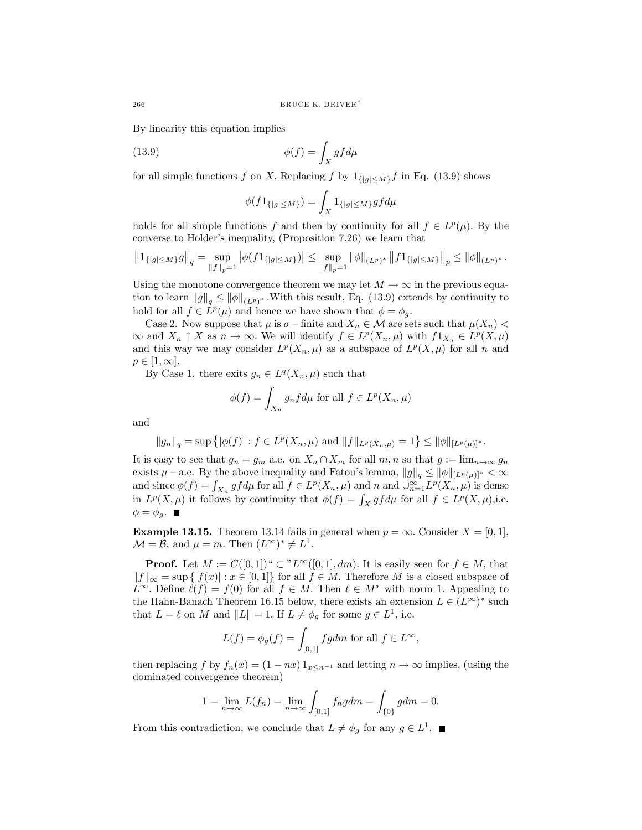By linearity this equation implies

(13.9) 
$$
\phi(f) = \int_X g f d\mu
$$

for all simple functions f on X. Replacing f by  $1_{\{|g|\leq M\}}$  in Eq. (13.9) shows

$$
\phi(f 1_{\{|g| \le M\}}) = \int_X 1_{\{|g| \le M\}} g f d\mu
$$

holds for all simple functions f and then by continuity for all  $f \in L^p(\mu)$ . By the converse to Holder's inequality, (Proposition 7.26) we learn that

$$
\left\|1_{\{|g|\leq M\}}g\right\|_q=\sup_{\|f\|_p=1}\left|\phi(f 1_{\{|g|\leq M\}})\right|\leq \sup_{\|f\|_p=1}\|\phi\|_{(L^p)^*}\left\|f 1_{\{|g|\leq M\}}\right\|_p\leq \|\phi\|_{(L^p)^*}\,.
$$

Using the monotone convergence theorem we may let  $M \to \infty$  in the previous equation to learn  $||g||_q \le ||\phi||_{(L^p)^*}$ . With this result, Eq. (13.9) extends by continuity to hold for all  $f \in L^p(\mu)$  and hence we have shown that  $\phi = \phi_g$ .

Case 2. Now suppose that  $\mu$  is  $\sigma$  – finite and  $X_n \in \mathcal{M}$  are sets such that  $\mu(X_n)$  $\infty$  and  $X_n \uparrow X$  as  $n \to \infty$ . We will identify  $f \in L^p(X_n, \mu)$  with  $f1_{X_n} \in L^p(X, \mu)$ and this way we may consider  $L^p(X_n, \mu)$  as a subspace of  $L^p(X, \mu)$  for all n and  $p \in [1,\infty].$ 

By Case 1. there exits  $g_n \in L^q(X_n, \mu)$  such that

$$
\phi(f) = \int_{X_n} g_n f d\mu \text{ for all } f \in L^p(X_n, \mu)
$$

and

$$
||g_n||_q = \sup \{ |\phi(f)| : f \in L^p(X_n, \mu) \text{ and } ||f||_{L^p(X_n, \mu)} = 1 \} \le ||\phi||_{[L^p(\mu)]^*}.
$$

It is easy to see that  $g_n = g_m$  a.e. on  $X_n \cap X_m$  for all  $m, n$  so that  $g := \lim_{n \to \infty} g_n$ exists  $\mu$  – a.e. By the above inequality and Fatou's lemma,  $||g||_q \le ||\phi||_{[L^p(\mu)]^*} < \infty$ and since  $\phi(f) = \int_{X_n} gf d\mu$  for all  $f \in L^p(X_n, \mu)$  and n and  $\bigcup_{n=1}^{\infty} L^p(X_n, \mu)$  is dense in  $L^p(X,\mu)$  it follows by continuity that  $\phi(f) = \int_X gf d\mu$  for all  $f \in L^p(X,\mu)$ , i.e.  $\phi = \phi_g$ .

**Example 13.15.** Theorem 13.14 fails in general when  $p = \infty$ . Consider  $X = [0, 1]$ ,  $\mathcal{M} = \mathcal{B}$ , and  $\mu = m$ . Then  $(L^{\infty})^* \neq L^1$ .

**Proof.** Let  $M := C([0,1])^{\omega} \subset {}^{n}L^{\infty}([0,1], dm)$ . It is easily seen for  $f \in M$ , that  $||f||_{\infty} = \sup \{|f(x)| : x \in [0,1]\}\$ for all  $f \in M$ . Therefore M is a closed subspace of  $L^{\infty}$ . Define  $\ell(f) = f(0)$  for all  $f \in M$ . Then  $\ell \in M^*$  with norm 1. Appealing to the Hahn-Banach Theorem 16.15 below, there exists an extension  $L \in (L^{\infty})^*$  such that  $L = \ell$  on M and  $||L|| = 1$ . If  $L \neq \phi_g$  for some  $g \in L^1$ , i.e.

$$
L(f) = \phi_g(f) = \int_{[0,1]} f g dm
$$
 for all  $f \in L^{\infty}$ ,

then replacing f by  $f_n(x) = (1 - nx) 1_{x \leq n^{-1}}$  and letting  $n \to \infty$  implies, (using the dominated convergence theorem)

$$
1 = \lim_{n \to \infty} L(f_n) = \lim_{n \to \infty} \int_{[0,1]} f_n g dm = \int_{\{0\}} g dm = 0.
$$

From this contradiction, we conclude that  $L \neq \phi_q$  for any  $g \in L^1$ .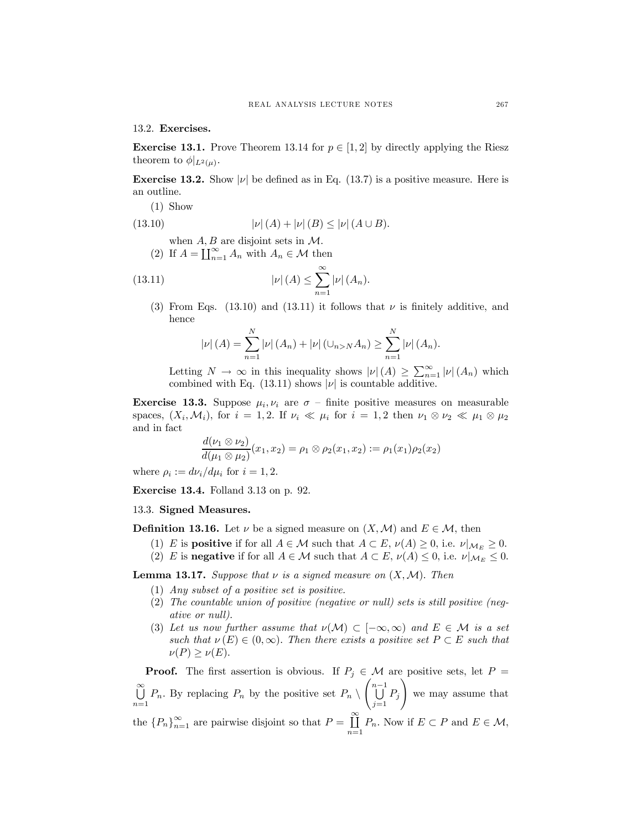13.2. Exercises.

**Exercise 13.1.** Prove Theorem 13.14 for  $p \in [1, 2]$  by directly applying the Riesz theorem to  $\phi|_{L^2(\mu)}$ .

**Exercise 13.2.** Show  $|\nu|$  be defined as in Eq. (13.7) is a positive measure. Here is an outline.

(1) Show

(13.10) 
$$
|\nu|(A) + |\nu|(B) \leq |\nu|(A \cup B).
$$

- when  $A, B$  are disjoint sets in  $\mathcal{M}$ .
- (2) If  $A = \coprod_{n=1}^{\infty} A_n$  with  $A_n \in \mathcal{M}$  then

(13.11) 
$$
|\nu|(A) \leq \sum_{n=1}^{\infty} |\nu|(A_n).
$$

(3) From Eqs. (13.10) and (13.11) it follows that  $\nu$  is finitely additive, and hence

$$
|\nu|(A) = \sum_{n=1}^{N} |\nu|(A_n) + |\nu| \left(\cup_{n>N} A_n\right) \ge \sum_{n=1}^{N} |\nu|(A_n).
$$

Letting  $N \to \infty$  in this inequality shows  $|\nu|(A) \geq \sum_{n=1}^{\infty} |\nu|(A_n)$  which combined with Eq. (13.11) shows  $|\nu|$  is countable additive.

**Exercise 13.3.** Suppose  $\mu_i, \nu_i$  are  $\sigma$  – finite positive measures on measurable spaces,  $(X_i, \mathcal{M}_i)$ , for  $i = 1, 2$ . If  $\nu_i \ll \mu_i$  for  $i = 1, 2$  then  $\nu_1 \otimes \nu_2 \ll \mu_1 \otimes \mu_2$ and in fact

$$
\frac{d(\nu_1 \otimes \nu_2)}{d(\mu_1 \otimes \mu_2)}(x_1, x_2) = \rho_1 \otimes \rho_2(x_1, x_2) := \rho_1(x_1)\rho_2(x_2)
$$

where  $\rho_i := d\nu_i/d\mu_i$  for  $i = 1, 2$ .

Exercise 13.4. Folland 3.13 on p. 92.

# 13.3. Signed Measures.

**Definition 13.16.** Let  $\nu$  be a signed measure on  $(X, \mathcal{M})$  and  $E \in \mathcal{M}$ , then

- (1) E is **positive** if for all  $A \in \mathcal{M}$  such that  $A \subset E$ ,  $\nu(A) \geq 0$ , i.e.  $\nu|_{\mathcal{M}_E} \geq 0$ .
- (2) E is negative if for all  $A \in \mathcal{M}$  such that  $A \subset E$ ,  $\nu(A) \leq 0$ , i.e.  $\nu|_{\mathcal{M}_E} \leq 0$ .

**Lemma 13.17.** Suppose that  $\nu$  is a signed measure on  $(X, \mathcal{M})$ . Then

- (1) Any subset of a positive set is positive.
- (2) The countable union of positive (negative or null) sets is still positive (negative or null).
- (3) Let us now further assume that  $\nu(\mathcal{M}) \subset [-\infty, \infty)$  and  $E \in \mathcal{M}$  is a set such that  $\nu(E) \in (0,\infty)$ . Then there exists a positive set  $P \subset E$  such that  $\nu(P) \geq \nu(E)$ .

**Proof.** The first assertion is obvious. If  $P_j \in \mathcal{M}$  are positive sets, let  $P =$ ∞<br>∐  $\bigcup_{n=1}^{\infty} P_n$ . By replacing  $P_n$  by the positive set  $P_n \setminus \left(\bigcup_{j=1}^{n-1} P_j\right)$  $\bigcup_{j=1} P_j$ ! we may assume that the  ${P_n}_{n=1}^{\infty}$  are pairwise disjoint so that  $P = \coprod_{n=1}^{\infty}$  $\coprod_{n=1} P_n$ . Now if  $E \subset P$  and  $E \in \mathcal{M}$ ,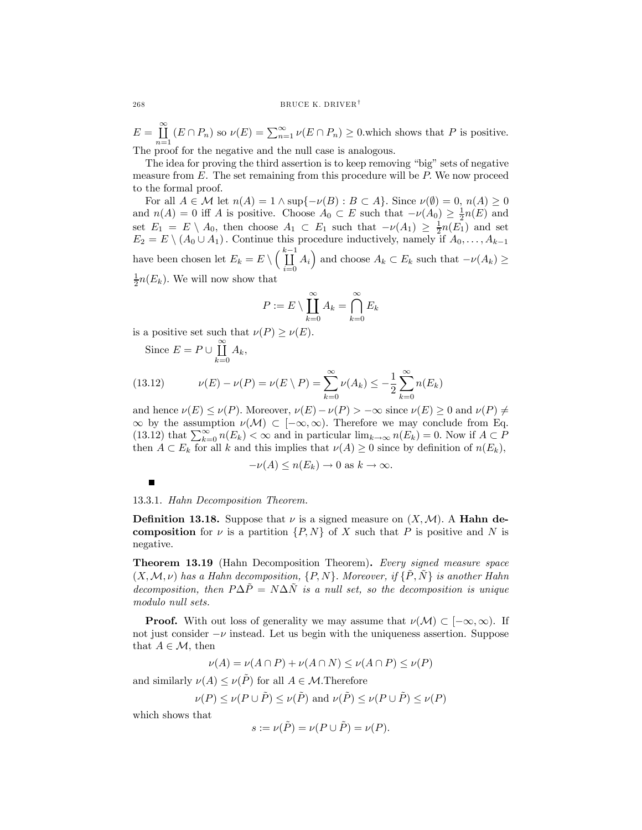$E = \prod_{i=1}^{\infty}$  $\coprod_{n=1}^{\infty}$   $(E \cap P_n)$  so  $\nu(E) = \sum_{n=1}^{\infty} \nu(E \cap P_n) \ge 0$ , which shows that P is positive. The proof for the negative and the null case is analogous.

The idea for proving the third assertion is to keep removing "big" sets of negative measure from  $E$ . The set remaining from this procedure will be  $P$ . We now proceed to the formal proof.

For all  $A \in \mathcal{M}$  let  $n(A)=1 \wedge \sup\{-\nu(B) : B \subset A\}$ . Since  $\nu(\emptyset)=0$ ,  $n(A) \geq 0$ and  $n(A) = 0$  iff A is positive. Choose  $A_0 \subset E$  such that  $-\nu(A_0) \geq \frac{1}{2}n(E)$  and set  $E_1 = E \setminus A_0$ , then choose  $A_1 \subset E_1$  such that  $-\nu(A_1) \geq \frac{1}{2}n(E_1)$  and set  $E_2 = E \setminus (A_0 \cup A_1)$ . Continue this procedure inductively, namely if  $A_0, \ldots, A_{k-1}$ have been chosen let  $E_k = E \setminus \left(\coprod_{i=0}^{k-1} \right)$  $\coprod_{i=0}^{k-1} A_i$  and choose  $A_k \subset E_k$  such that  $-\nu(A_k) \ge$  $\frac{1}{2}n(E_k)$ . We will now show that

$$
P := E \setminus \prod_{k=0}^{\infty} A_k = \bigcap_{k=0}^{\infty} E_k
$$

is a positive set such that  $\nu(P) \ge \nu(E)$ .

Since  $E = P \cup \coprod_{i=1}^{\infty}$  $\coprod_{k=0} A_k,$ 

(13.12) 
$$
\nu(E) - \nu(P) = \nu(E \setminus P) = \sum_{k=0}^{\infty} \nu(A_k) \leq -\frac{1}{2} \sum_{k=0}^{\infty} n(E_k)
$$

and hence  $\nu(E) \leq \nu(P)$ . Moreover,  $\nu(E) - \nu(P) > -\infty$  since  $\nu(E) \geq 0$  and  $\nu(P) \neq \nu(P)$  $\infty$  by the assumption  $\nu(\mathcal{M}) \subset [-\infty, \infty)$ . Therefore we may conclude from Eq. (13.12) that  $\sum_{k=0}^{\infty} n(E_k) < \infty$  and in particular  $\lim_{k\to\infty} n(E_k) = 0$ . Now if  $A \subset P$ then  $A \subset E_k$  for all k and this implies that  $\nu(A) \geq 0$  since by definition of  $n(E_k)$ ,

$$
-\nu(A) \le n(E_k) \to 0 \text{ as } k \to \infty.
$$

13.3.1. Hahn Decomposition Theorem.

**Definition 13.18.** Suppose that  $\nu$  is a signed measure on  $(X, \mathcal{M})$ . A **Hahn de**composition for  $\nu$  is a partition  $\{P, N\}$  of X such that P is positive and N is negative.

Theorem 13.19 (Hahn Decomposition Theorem). Every signed measure space  $(X, \mathcal{M}, \nu)$  has a Hahn decomposition,  $\{P, N\}$ . Moreover, if  $\{\tilde{P}, \tilde{N}\}$  is another Hahn decomposition, then  $P\Delta \tilde{P} = N\Delta \tilde{N}$  is a null set, so the decomposition is unique modulo null sets.

**Proof.** With out loss of generality we may assume that  $\nu(\mathcal{M}) \subset [-\infty, \infty)$ . If not just consider  $-\nu$  instead. Let us begin with the uniqueness assertion. Suppose that  $A \in \mathcal{M}$ , then

$$
\nu(A) = \nu(A \cap P) + \nu(A \cap N) \le \nu(A \cap P) \le \nu(P)
$$

and similarly  $\nu(A) \leq \nu(\tilde{P})$  for all  $A \in \mathcal{M}$ . Therefore

$$
\nu(P) \le \nu(P \cup \tilde{P}) \le \nu(\tilde{P})
$$
 and  $\nu(\tilde{P}) \le \nu(P \cup \tilde{P}) \le \nu(P)$ 

which shows that

$$
s := \nu(\tilde{P}) = \nu(P \cup \tilde{P}) = \nu(P).
$$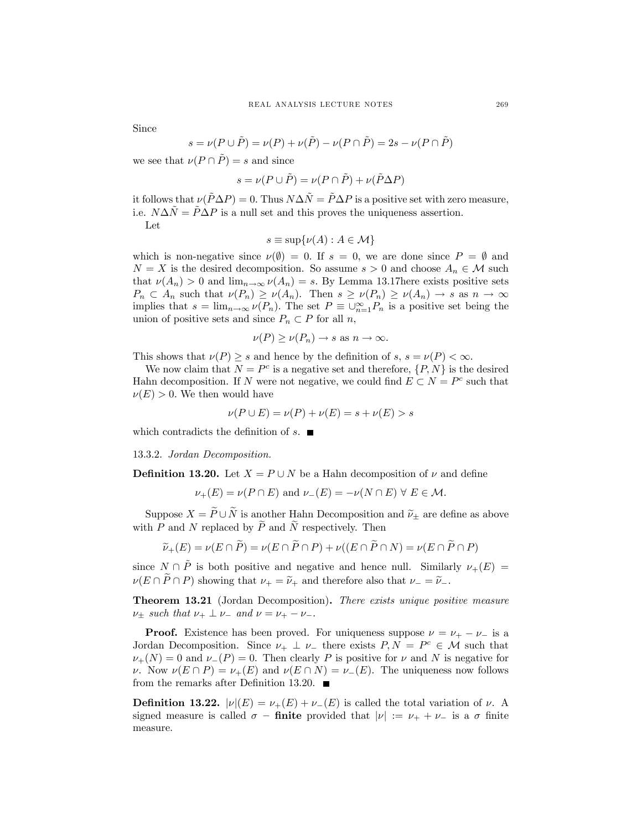Since

$$
s = \nu(P \cup \tilde{P}) = \nu(P) + \nu(\tilde{P}) - \nu(P \cap \tilde{P}) = 2s - \nu(P \cap \tilde{P})
$$

we see that  $\nu(P \cap P) = s$  and since

$$
s = \nu(P \cup \tilde{P}) = \nu(P \cap \tilde{P}) + \nu(\tilde{P}\Delta P)
$$

it follows that  $\nu(\overline{P}\Delta P)=0$ . Thus  $N\Delta N = \overline{P}\Delta P$  is a positive set with zero measure, i.e.  $N\Delta N = \overline{P}\Delta P$  is a null set and this proves the uniqueness assertion.

Let

$$
s \equiv \sup \{ \nu(A) : A \in \mathcal{M} \}
$$

which is non-negative since  $\nu(\emptyset)=0$ . If  $s=0$ , we are done since  $P=\emptyset$  and  $N = X$  is the desired decomposition. So assume  $s > 0$  and choose  $A_n \in \mathcal{M}$  such that  $\nu(A_n) > 0$  and  $\lim_{n \to \infty} \nu(A_n) = s$ . By Lemma 13.17here exists positive sets  $P_n \subset A_n$  such that  $\nu(P_n) \geq \nu(A_n)$ . Then  $s \geq \nu(P_n) \geq \nu(A_n) \to s$  as  $n \to \infty$ implies that  $s = \lim_{n \to \infty} \nu(P_n)$ . The set  $P \equiv \bigcup_{n=1}^{\infty} P_n$  is a positive set being the union of positive sets and since  $P_n \subset P$  for all n,

$$
\nu(P) \ge \nu(P_n) \to s \text{ as } n \to \infty.
$$

This shows that  $\nu(P) \geq s$  and hence by the definition of  $s, s = \nu(P) < \infty$ .

We now claim that  $N = P^c$  is a negative set and therefore,  $\{P, N\}$  is the desired Hahn decomposition. If N were not negative, we could find  $E \subset N = P^c$  such that  $\nu(E) > 0$ . We then would have

$$
\nu(P \cup E) = \nu(P) + \nu(E) = s + \nu(E) > s
$$

which contradicts the definition of  $s$ .

13.3.2. Jordan Decomposition.

**Definition 13.20.** Let  $X = P \cup N$  be a Hahn decomposition of  $\nu$  and define

$$
\nu_{+}(E) = \nu(P \cap E) \text{ and } \nu_{-}(E) = -\nu(N \cap E) \forall E \in \mathcal{M}.
$$

Suppose  $X = \widetilde{P} \cup \widetilde{N}$  is another Hahn Decomposition and  $\widetilde{\nu}_+$  are define as above with P and N replaced by  $\widetilde{P}$  and  $\widetilde{N}$  respectively. Then

$$
\widetilde{\nu}_+(E) = \nu(E \cap \widetilde{P}) = \nu(E \cap \widetilde{P} \cap P) + \nu((E \cap \widetilde{P} \cap N) = \nu(E \cap \widetilde{P} \cap P)
$$

since  $N \cap \tilde{P}$  is both positive and negative and hence null. Similarly  $\nu_{+}(E)$  $\nu(E \cap P \cap P)$  showing that  $\nu_{+} = \tilde{\nu}_{+}$  and therefore also that  $\nu_{-} = \tilde{\nu}_{-}$ .

Theorem 13.21 (Jordan Decomposition). There exists unique positive measure  $\nu_{+}$  such that  $\nu_{+} \perp \nu_{-}$  and  $\nu = \nu_{+} - \nu_{-}$ .

**Proof.** Existence has been proved. For uniqueness suppose  $\nu = \nu_+ - \nu_-$  is a Jordan Decomposition. Since  $\nu_+ \perp \nu_-$  there exists  $P, N = P^c \in \mathcal{M}$  such that  $\nu_{+}(N)=0$  and  $\nu_{-}(P)=0$ . Then clearly P is positive for  $\nu$  and N is negative for ν. Now  $\nu(E \cap P) = \nu_+(E)$  and  $\nu(E \cap N) = \nu_-(E)$ . The uniqueness now follows from the remarks after Definition 13.20.  $\blacksquare$ 

**Definition 13.22.**  $|\nu|(E) = \nu_+(E) + \nu_-(E)$  is called the total variation of  $\nu$ . A signed measure is called  $\sigma$  – finite provided that  $|\nu| := \nu_+ + \nu_-$  is a  $\sigma$  finite measure.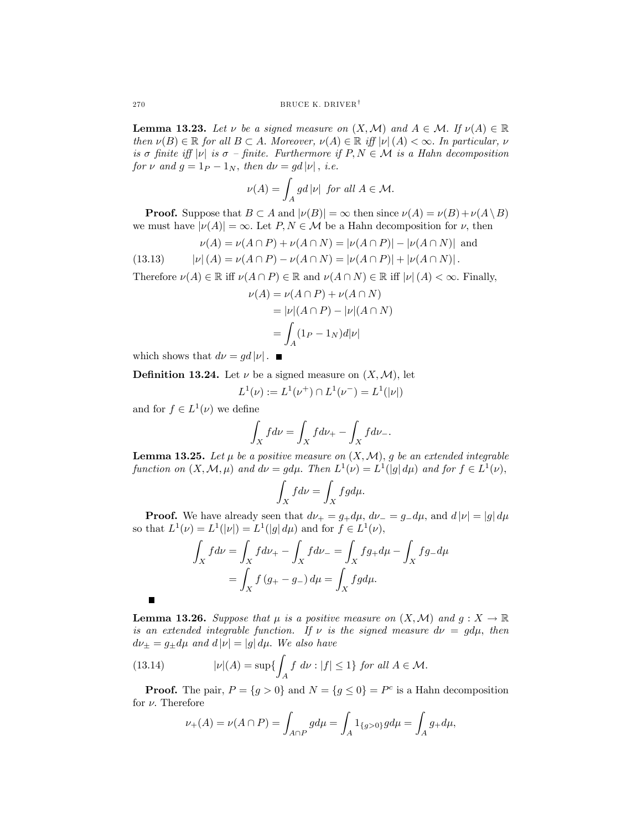**Lemma 13.23.** Let  $\nu$  be a signed measure on  $(X, \mathcal{M})$  and  $A \in \mathcal{M}$ . If  $\nu(A) \in \mathbb{R}$ then  $\nu(B) \in \mathbb{R}$  for all  $B \subset A$ . Moreover,  $\nu(A) \in \mathbb{R}$  iff  $|\nu(A)| \leq \infty$ . In particular,  $\nu$ is σ finite iff  $|v|$  is  $\sigma$  – finite. Furthermore if  $P, N \in \mathcal{M}$  is a Hahn decomposition for  $\nu$  and  $g = 1_P - 1_N$ , then  $d\nu = gd|\nu|$ , *i.e.* 

$$
\nu(A) = \int_A gd|\nu| \text{ for all } A \in \mathcal{M}.
$$

**Proof.** Suppose that  $B \subset A$  and  $|\nu(B)| = \infty$  then since  $\nu(A) = \nu(B) + \nu(A \setminus B)$ we must have  $|\nu(A)| = \infty$ . Let  $P, N \in \mathcal{M}$  be a Hahn decomposition for  $\nu$ , then

(13.13) 
$$
\nu(A) = \nu(A \cap P) + \nu(A \cap N) = |\nu(A \cap P)| - |\nu(A \cap N)| \text{ and}
$$

$$
|\nu|(A) = \nu(A \cap P) - \nu(A \cap N) = |\nu(A \cap P)| + |\nu(A \cap N)|.
$$

Therefore  $\nu(A) \in \mathbb{R}$  iff  $\nu(A \cap P) \in \mathbb{R}$  and  $\nu(A \cap N) \in \mathbb{R}$  iff  $|\nu|(A) < \infty$ . Finally,

$$
\nu(A) = \nu(A \cap P) + \nu(A \cap N)
$$
  
= |\nu|(A \cap P) - |\nu|(A \cap N)  
= 
$$
\int_A (1_P - 1_N)d|\nu|
$$

which shows that  $d\nu = gd|\nu|$ .

**Definition 13.24.** Let  $\nu$  be a signed measure on  $(X, \mathcal{M})$ , let

$$
L^1(\nu) := L^1(\nu^+) \cap L^1(\nu^-) = L^1(|\nu|)
$$

and for  $f \in L^1(\nu)$  we define

п

$$
\int_X f d\nu = \int_X f d\nu_+ - \int_X f d\nu_-.
$$

**Lemma 13.25.** Let  $\mu$  be a positive measure on  $(X, \mathcal{M})$ , g be an extended integrable function on  $(X, \mathcal{M}, \mu)$  and  $d\nu = g d\mu$ . Then  $L^1(\nu) = L^1(|g| d\mu)$  and for  $f \in L^1(\nu)$ ,

$$
\int_X fd\nu = \int_X fg d\mu.
$$

**Proof.** We have already seen that  $d\nu_{+} = g_{+}d\mu$ ,  $d\nu_{-} = g_{-}d\mu$ , and  $d|\nu| = |g|d\mu$ so that  $L^1(\nu) = L^1(|\nu|) = L^1(|g| d\mu)$  and for  $f \in L^1(\nu)$ ,

$$
\int_X f d\nu = \int_X f d\nu_+ - \int_X f d\nu_- = \int_X f g_+ d\mu - \int_X f g_- d\mu
$$

$$
= \int_X f (g_+ - g_-) d\mu = \int_X f g d\mu.
$$

**Lemma 13.26.** Suppose that  $\mu$  is a positive measure on  $(X, \mathcal{M})$  and  $g : X \to \mathbb{R}$ is an extended integrable function. If  $\nu$  is the signed measure  $d\nu = g d\mu$ , then  $d\nu_\pm=g_\pm d\mu$  and  $d\left|\nu\right|=\left|g\right|d\mu$ . We also have

(13.14) 
$$
|\nu|(A) = \sup \{ \int_A f \, d\nu : |f| \le 1 \} \text{ for all } A \in \mathcal{M}.
$$

**Proof.** The pair,  $P = \{g > 0\}$  and  $N = \{g \le 0\} = P^c$  is a Hahn decomposition for  $\nu$ . Therefore

$$
\nu_{+}(A) = \nu(A \cap P) = \int_{A \cap P} g d\mu = \int_{A} 1_{\{g > 0\}} g d\mu = \int_{A} g_{+} d\mu,
$$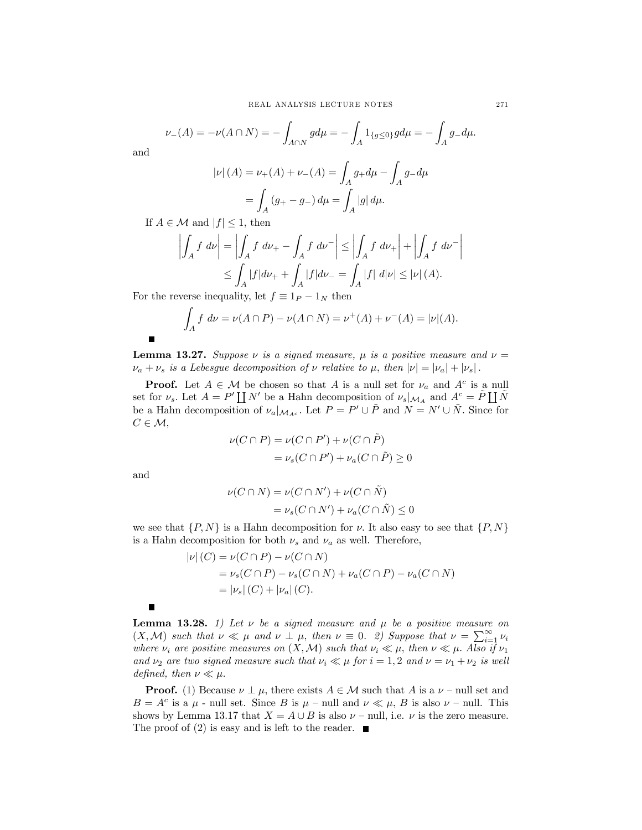$$
\nu_{-}(A) = -\nu(A \cap N) = -\int_{A \cap N} g d\mu = -\int_{A} 1_{\{g \le 0\}} g d\mu = -\int_{A} g_{-} d\mu.
$$

and

$$
|\nu|(A) = \nu_{+}(A) + \nu_{-}(A) = \int_{A} g_{+}d\mu - \int_{A} g_{-}d\mu
$$

$$
= \int_{A} (g_{+} - g_{-}) d\mu = \int_{A} |g| d\mu.
$$

If  $A \in \mathcal{M}$  and  $|f| \leq 1$ , then

$$
\left| \int_{A} f \, d\nu \right| = \left| \int_{A} f \, d\nu_{+} - \int_{A} f \, d\nu^{-} \right| \le \left| \int_{A} f \, d\nu_{+} \right| + \left| \int_{A} f \, d\nu^{-} \right|
$$
  

$$
\le \int_{A} |f| d\nu_{+} + \int_{A} |f| d\nu_{-} = \int_{A} |f| \, d|\nu| \le |\nu| \, (A).
$$

For the reverse inequality, let  $f \equiv 1_P - 1_N$  then

$$
\int_A f \, d\nu = \nu(A \cap P) - \nu(A \cap N) = \nu^+(A) + \nu^-(A) = |\nu|(A).
$$

**Lemma 13.27.** Suppose  $\nu$  is a signed measure,  $\mu$  is a positive measure and  $\nu =$  $\nu_a + \nu_s$  is a Lebesgue decomposition of  $\nu$  relative to  $\mu$ , then  $|\nu| = |\nu_a| + |\nu_s|$ .

**Proof.** Let  $A \in \mathcal{M}$  be chosen so that A is a null set for  $\nu_a$  and  $A^c$  is a null set for  $\nu_s$ . Let  $A = P' \coprod N'$  be a Hahn decomposition of  $\nu_s|_{\mathcal{M}_A}$  and  $A^c = \tilde{P} \coprod \tilde{N}$ be a Hahn decomposition of  $\nu_a|_{\mathcal{M}_{A^c}}$ . Let  $P = P' \cup \tilde{P}$  and  $N = N' \cup \tilde{N}$ . Since for  $C \in \mathcal{M},$ 

$$
\nu(C \cap P) = \nu(C \cap P') + \nu(C \cap \tilde{P})
$$
  
=  $\nu_s(C \cap P') + \nu_a(C \cap \tilde{P}) \ge 0$ 

and

 $\blacksquare$ 

$$
\nu(C \cap N) = \nu(C \cap N') + \nu(C \cap \tilde{N})
$$
  
= 
$$
\nu_s(C \cap N') + \nu_a(C \cap \tilde{N}) \leq 0
$$

we see that  $\{P, N\}$  is a Hahn decomposition for v. It also easy to see that  $\{P, N\}$ is a Hahn decomposition for both  $\nu_s$  and  $\nu_a$  as well. Therefore,

$$
|\nu|(C) = \nu(C \cap P) - \nu(C \cap N)
$$
  
=  $\nu_s(C \cap P) - \nu_s(C \cap N) + \nu_a(C \cap P) - \nu_a(C \cap N)$   
=  $|\nu_s|(C) + |\nu_a|(C)$ .

 $\blacksquare$ **Lemma 13.28.** 1) Let  $\nu$  be a signed measure and  $\mu$  be a positive measure on  $(X, \mathcal{M})$  such that  $\nu \ll \mu$  and  $\nu \perp \mu$ , then  $\nu \equiv 0$ . 2) Suppose that  $\nu = \sum_{i=1}^{\infty} \nu_i$ where  $\nu_i$  are positive measures on  $(X, \mathcal{M})$  such that  $\nu_i \ll \mu$ , then  $\nu \ll \mu$ . Also if  $\nu_1$ and  $\nu_2$  are two signed measure such that  $\nu_i \ll \mu$  for  $i = 1, 2$  and  $\nu = \nu_1 + \nu_2$  is well defined, then  $\nu \ll \mu$ .

**Proof.** (1) Because  $\nu \perp \mu$ , there exists  $A \in \mathcal{M}$  such that A is a  $\nu$  – null set and  $B = A^c$  is a  $\mu$  - null set. Since B is  $\mu$  - null and  $\nu \ll \mu$ , B is also  $\nu$  - null. This shows by Lemma 13.17 that  $X = A \cup B$  is also  $\nu$  – null, i.e.  $\nu$  is the zero measure. The proof of (2) is easy and is left to the reader.  $\blacksquare$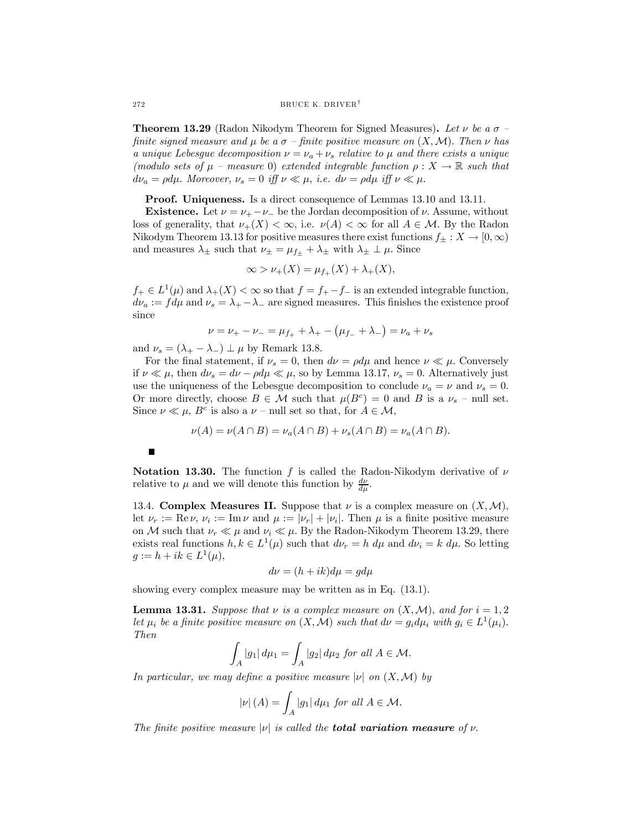**Theorem 13.29** (Radon Nikodym Theorem for Signed Measures). Let  $\nu$  be a  $\sigma$  finite signed measure and  $\mu$  be a  $\sigma$  – finite positive measure on  $(X, \mathcal{M})$ . Then  $\nu$  has a unique Lebesgue decomposition  $\nu = \nu_a + \nu_s$  relative to  $\mu$  and there exists a unique (modulo sets of  $\mu$  – measure 0) extended integrable function  $\rho: X \to \mathbb{R}$  such that  $d\nu_a = \rho d\mu$ . Moreover,  $\nu_s = 0$  iff  $\nu \ll \mu$ , i.e.  $d\nu = \rho d\mu$  iff  $\nu \ll \mu$ .

Proof. Uniqueness. Is a direct consequence of Lemmas 13.10 and 13.11.

**Existence.** Let  $\nu = \nu_{+} - \nu_{-}$  be the Jordan decomposition of  $\nu$ . Assume, without loss of generality, that  $\nu_+(X) < \infty$ , i.e.  $\nu(A) < \infty$  for all  $A \in \mathcal{M}$ . By the Radon Nikodym Theorem 13.13 for positive measures there exist functions  $f_{\pm}: X \to [0, \infty)$ and measures  $\lambda_{\pm}$  such that  $\nu_{\pm} = \mu_{f+} + \lambda_{\pm}$  with  $\lambda_{\pm} \perp \mu$ . Since

$$
\infty > \nu_{+}(X) = \mu_{f_{+}}(X) + \lambda_{+}(X),
$$

 $f_+ \in L^1(\mu)$  and  $\lambda_+(X) < \infty$  so that  $f = f_+ - f_-$  is an extended integrable function,  $d\nu_a := fd\mu$  and  $\nu_s = \lambda_+ - \lambda_-$  are signed measures. This finishes the existence proof since

$$
\nu = \nu_{+} - \nu_{-} = \mu_{f_{+}} + \lambda_{+} - (\mu_{f_{-}} + \lambda_{-}) = \nu_{a} + \nu_{s}
$$

and  $\nu_s = (\lambda_+ - \lambda_-) \perp \mu$  by Remark 13.8.

For the final statement, if  $\nu_s = 0$ , then  $d\nu = \rho d\mu$  and hence  $\nu \ll \mu$ . Conversely if  $\nu \ll \mu$ , then  $d\nu_s = d\nu - \rho d\mu \ll \mu$ , so by Lemma 13.17,  $\nu_s = 0$ . Alternatively just use the uniqueness of the Lebesgue decomposition to conclude  $\nu_a = \nu$  and  $\nu_s = 0$ . Or more directly, choose  $B \in \mathcal{M}$  such that  $\mu(B^c)=0$  and B is a  $\nu_s$  – null set. Since  $\nu \ll \mu$ ,  $B^c$  is also a  $\nu$  – null set so that, for  $A \in \mathcal{M}$ ,

$$
\nu(A) = \nu(A \cap B) = \nu_a(A \cap B) + \nu_s(A \cap B) = \nu_a(A \cap B).
$$

Notation 13.30. The function f is called the Radon-Nikodym derivative of  $\nu$ relative to  $\mu$  and we will denote this function by  $\frac{d\nu}{d\mu}$ .

13.4. Complex Measures II. Suppose that  $\nu$  is a complex measure on  $(X, \mathcal{M})$ , let  $\nu_r := \text{Re}\,\nu, \nu_i := \text{Im}\,\nu$  and  $\mu := |\nu_r| + |\nu_i|$ . Then  $\mu$  is a finite positive measure on M such that  $\nu_r \ll \mu$  and  $\nu_i \ll \mu$ . By the Radon-Nikodym Theorem 13.29, there exists real functions  $h, k \in L^1(\mu)$  such that  $d\nu_r = h d\mu$  and  $d\nu_i = k d\mu$ . So letting  $g := h + ik \in L^{1}(\mu),$ 

$$
d\nu = (h + ik)d\mu = gd\mu
$$

showing every complex measure may be written as in Eq. (13.1).

**Lemma 13.31.** Suppose that  $\nu$  is a complex measure on  $(X, \mathcal{M})$ , and for  $i = 1, 2$ let  $\mu_i$  be a finite positive measure on  $(X, \mathcal{M})$  such that  $d\nu = g_i d\mu_i$  with  $g_i \in L^1(\mu_i)$ . Then

$$
\int_A |g_1| \, d\mu_1 = \int_A |g_2| \, d\mu_2 \text{ for all } A \in \mathcal{M}.
$$

In particular, we may define a positive measure  $|\nu|$  on  $(X, \mathcal{M})$  by

$$
|\nu| (A) = \int_A |g_1| \, d\mu_1 \text{ for all } A \in \mathcal{M}.
$$

The finite positive measure  $|\nu|$  is called the **total variation measure** of  $\nu$ .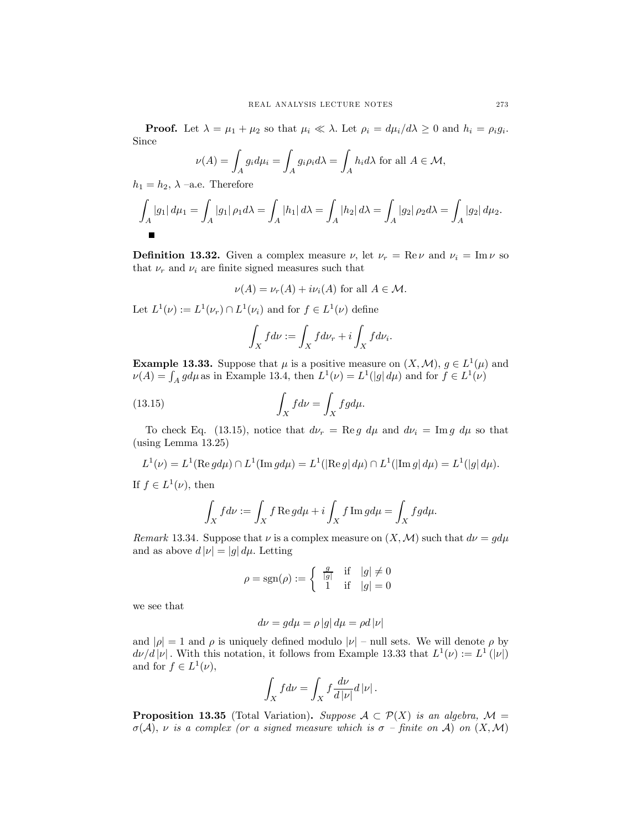**Proof.** Let  $\lambda = \mu_1 + \mu_2$  so that  $\mu_i \ll \lambda$ . Let  $\rho_i = d\mu_i/d\lambda \geq 0$  and  $h_i = \rho_i g_i$ . Since

$$
\nu(A) = \int_A g_i d\mu_i = \int_A g_i \rho_i d\lambda = \int_A h_i d\lambda \text{ for all } A \in \mathcal{M},
$$

 $h_1 = h_2$ ,  $\lambda$  –a.e. Therefore

$$
\int_A |g_1| d\mu_1 = \int_A |g_1| \rho_1 d\lambda = \int_A |h_1| d\lambda = \int_A |h_2| d\lambda = \int_A |g_2| \rho_2 d\lambda = \int_A |g_2| d\mu_2.
$$

**Definition 13.32.** Given a complex measure  $\nu$ , let  $\nu_r = \text{Re}\nu$  and  $\nu_i = \text{Im}\nu$  so that  $\nu_r$  and  $\nu_i$  are finite signed measures such that

$$
\nu(A) = \nu_r(A) + i\nu_i(A)
$$
 for all  $A \in \mathcal{M}$ .

Let  $L^1(\nu) := L^1(\nu_r) \cap L^1(\nu_i)$  and for  $f \in L^1(\nu)$  define

$$
\int_X f d\nu := \int_X f d\nu_r + i \int_X f d\nu_i.
$$

**Example 13.33.** Suppose that  $\mu$  is a positive measure on  $(X, \mathcal{M})$ ,  $g \in L^1(\mu)$  and  $\nu(A) = \int_A g d\mu$  as in Example 13.4, then  $L^1(\nu) = L^1(|g| d\mu)$  and for  $f \in L^1(\nu)$ 

(13.15) 
$$
\int_X f d\nu = \int_X f g d\mu.
$$

To check Eq. (13.15), notice that  $d\nu_r = \text{Re } g \, d\mu$  and  $d\nu_i = \text{Im } g \, d\mu$  so that (using Lemma 13.25)

$$
L^{1}(\nu) = L^{1}(\text{Re }gd\mu) \cap L^{1}(\text{Im }gd\mu) = L^{1}(|\text{Re }g| d\mu) \cap L^{1}(|\text{Im }g| d\mu) = L^{1}(|g| d\mu).
$$

If  $f \in L^1(\nu)$ , then

$$
\int_X f d\nu := \int_X f \operatorname{Re} g d\mu + i \int_X f \operatorname{Im} g d\mu = \int_X f g d\mu.
$$

Remark 13.34. Suppose that  $\nu$  is a complex measure on  $(X, \mathcal{M})$  such that  $d\nu = g d\mu$ and as above  $d |\nu| = |g| d \mu$ . Letting

$$
\rho = \text{sgn}(\rho) := \begin{cases} \frac{g}{|g|} & \text{if } |g| \neq 0\\ 1 & \text{if } |g| = 0 \end{cases}
$$

we see that

$$
d\nu = g d\mu = \rho \left|g\right| d\mu = \rho d \left|\nu\right|
$$

and  $|\rho| = 1$  and  $\rho$  is uniquely defined modulo  $|\nu|$  – null sets. We will denote  $\rho$  by  $d\nu/d|\nu|$ . With this notation, it follows from Example 13.33 that  $L^1(\nu) := L^1(|\nu|)$ and for  $f \in L^1(\nu)$ ,

$$
\int_X f d\nu = \int_X f \frac{d\nu}{d|\nu|} d|\nu|.
$$

**Proposition 13.35** (Total Variation). Suppose  $A \subset \mathcal{P}(X)$  is an algebra,  $\mathcal{M} =$  $\sigma(\mathcal{A}), \nu$  is a complex (or a signed measure which is  $\sigma$  – finite on A) on  $(X, \mathcal{M})$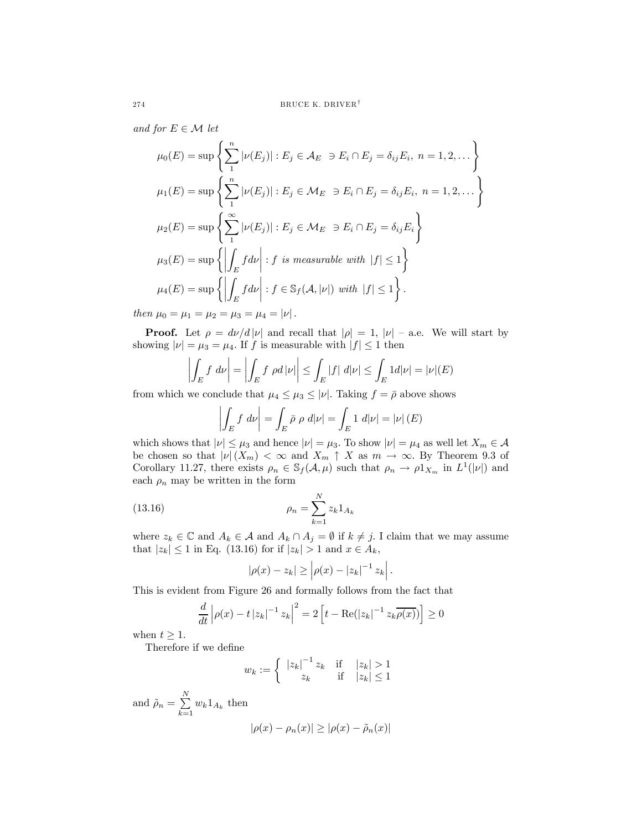and for  $E \in \mathcal{M}$  let

$$
\mu_0(E) = \sup \left\{ \sum_{1}^{n} |\nu(E_j)| : E_j \in \mathcal{A}_E \ni E_i \cap E_j = \delta_{ij} E_i, \ n = 1, 2, \dots \right\}
$$
  
\n
$$
\mu_1(E) = \sup \left\{ \sum_{1}^{n} |\nu(E_j)| : E_j \in \mathcal{M}_E \ni E_i \cap E_j = \delta_{ij} E_i, \ n = 1, 2, \dots \right\}
$$
  
\n
$$
\mu_2(E) = \sup \left\{ \sum_{1}^{\infty} |\nu(E_j)| : E_j \in \mathcal{M}_E \ni E_i \cap E_j = \delta_{ij} E_i \right\}
$$
  
\n
$$
\mu_3(E) = \sup \left\{ \left| \int_E f d\nu \right| : f \text{ is measurable with } |f| \le 1 \right\}
$$
  
\n
$$
\mu_4(E) = \sup \left\{ \left| \int_E f d\nu \right| : f \in \mathbb{S}_f(\mathcal{A}, |\nu|) \text{ with } |f| \le 1 \right\}.
$$

then  $\mu_0 = \mu_1 = \mu_2 = \mu_3 = \mu_4 = |\nu|$ .

**Proof.** Let  $\rho = d\nu/d |\nu|$  and recall that  $|\rho| = 1$ ,  $|\nu|$  – a.e. We will start by showing  $|\nu| = \mu_3 = \mu_4$ . If f is measurable with  $|f| \leq 1$  then

$$
\left| \int_E f \, d\nu \right| = \left| \int_E f \, \rho d\, |\nu| \right| \le \int_E |f| \, d|\nu| \le \int_E 1 d|\nu| = |\nu|(E)
$$

from which we conclude that  $\mu_4 \leq \mu_3 \leq |\nu|$ . Taking  $f = \overline{\rho}$  above shows

$$
\left| \int_{E} f \, d\nu \right| = \int_{E} \bar{\rho} \, \rho \, d|\nu| = \int_{E} 1 \, d|\nu| = |\nu| \, (E)
$$

which shows that  $|\nu| \leq \mu_3$  and hence  $|\nu| = \mu_3$ . To show  $|\nu| = \mu_4$  as well let  $X_m \in \mathcal{A}$ be chosen so that  $|\nu|(X_m) < \infty$  and  $X_m \uparrow X$  as  $m \to \infty$ . By Theorem 9.3 of Corollary 11.27, there exists  $\rho_n \in \mathcal{S}_f(\mathcal{A}, \mu)$  such that  $\rho_n \to \rho \mathbb{1}_{X_m}$  in  $L^1(|\nu|)$  and each  $\rho_n$  may be written in the form

(13.16) 
$$
\rho_n = \sum_{k=1}^{N} z_k 1_{A_k}
$$

where  $z_k \in \mathbb{C}$  and  $A_k \in \mathcal{A}$  and  $A_k \cap A_j = \emptyset$  if  $k \neq j$ . I claim that we may assume that  $|z_k| \leq 1$  in Eq. (13.16) for if  $|z_k| > 1$  and  $x \in A_k$ ,

$$
|\rho(x) - z_k| \ge |\rho(x) - |z_k|^{-1} z_k|.
$$

This is evident from Figure 26 and formally follows from the fact that

$$
\frac{d}{dt} \left| \rho(x) - t \left| z_k \right|^{-1} z_k \right|^2 = 2 \left[ t - \text{Re}(|z_k|^{-1} z_k \overline{\rho(x)}) \right] \ge 0
$$

when  $t \geq 1$ .

Therefore if we define

$$
w_k := \begin{cases} |z_k|^{-1} z_k & \text{if } |z_k| > 1\\ z_k & \text{if } |z_k| \le 1 \end{cases}
$$

and  $\rho_n = \sum^N$  $\sum_{k=1} w_k 1_{A_k}$  then  $|\rho(x) - \rho_n(x)| \geq |\rho(x) - \tilde{\rho}_n(x)|$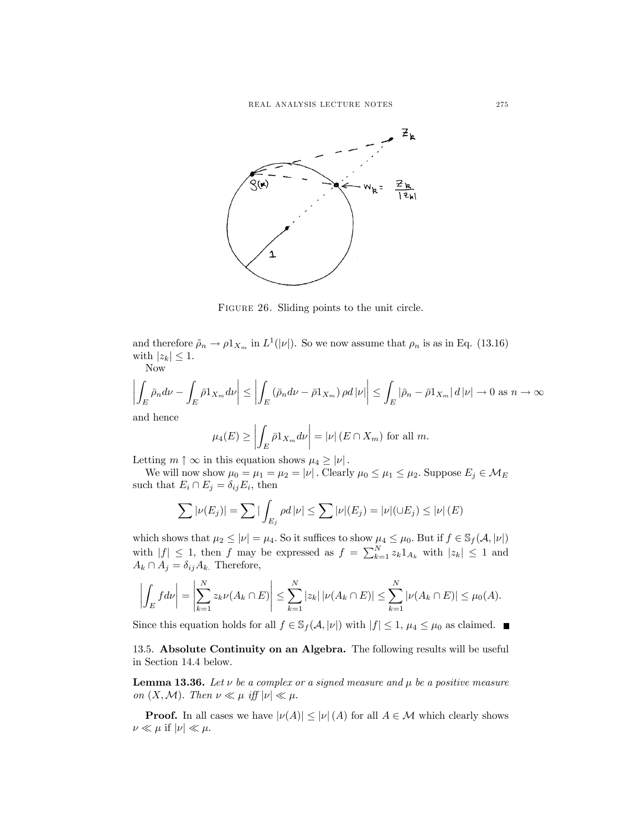

Figure 26. Sliding points to the unit circle.

and therefore  $\tilde{\rho}_n \to \rho_1_{X_m}$  in  $L^1(|\nu|)$ . So we now assume that  $\rho_n$  is as in Eq. (13.16) with  $|z_k| \leq 1$ .

Now

$$
\left| \int_{E} \bar{\rho}_n d\nu - \int_{E} \bar{\rho} 1_{X_m} d\nu \right| \le \left| \int_{E} \left( \bar{\rho}_n d\nu - \bar{\rho} 1_{X_m} \right) \rho d|\nu| \right| \le \int_{E} |\bar{\rho}_n - \bar{\rho} 1_{X_m}| d|\nu| \to 0 \text{ as } n \to \infty
$$

and hence

$$
\mu_4(E) \ge \left| \int_E \bar{\rho} 1_{X_m} d\nu \right| = |\nu| \left( E \cap X_m \right) \text{ for all } m.
$$

Letting  $m \uparrow \infty$  in this equation shows  $\mu_4 \geq |\nu|$ .

We will now show  $\mu_0=\mu_1=\mu_2=|\nu|$  . Clearly  $\mu_0\leq\mu_1\leq\mu_2.$  Suppose  $E_j\in\mathcal{M}_E$ such that  $E_i \cap E_j = \delta_{ij} E_i$ , then

$$
\sum |\nu(E_j)| = \sum |\int_{E_j} \rho d|\nu| \le \sum |\nu|(E_j) = |\nu|(\cup E_j) \le |\nu|(E)
$$

which shows that  $\mu_2 \leq |\nu| = \mu_4$ . So it suffices to show  $\mu_4 \leq \mu_0$ . But if  $f \in \mathbb{S}_f(\mathcal{A}, |\nu|)$ with  $|f| \leq 1$ , then f may be expressed as  $f = \sum_{k=1}^{N} z_k 1_{A_k}$  with  $|z_k| \leq 1$  and  $A_k \cap A_j = \delta_{ij} A_k$ . Therefore,

$$
\left| \int_{E} f d\nu \right| = \left| \sum_{k=1}^{N} z_{k} \nu(A_{k} \cap E) \right| \leq \sum_{k=1}^{N} |z_{k}| |\nu(A_{k} \cap E)| \leq \sum_{k=1}^{N} |\nu(A_{k} \cap E)| \leq \mu_{0}(A).
$$

Since this equation holds for all  $f \in \mathcal{S}_f(\mathcal{A}, |\nu|)$  with  $|f| \leq 1$ ,  $\mu_4 \leq \mu_0$  as claimed.

13.5. Absolute Continuity on an Algebra. The following results will be useful in Section 14.4 below.

**Lemma 13.36.** Let  $\nu$  be a complex or a signed measure and  $\mu$  be a positive measure on  $(X, \mathcal{M})$ . Then  $\nu \ll \mu$  iff  $|\nu| \ll \mu$ .

**Proof.** In all cases we have  $|\nu(A)| \leq |\nu(A)|$  for all  $A \in \mathcal{M}$  which clearly shows  $\nu \ll \mu$  if  $|\nu| \ll \mu$ .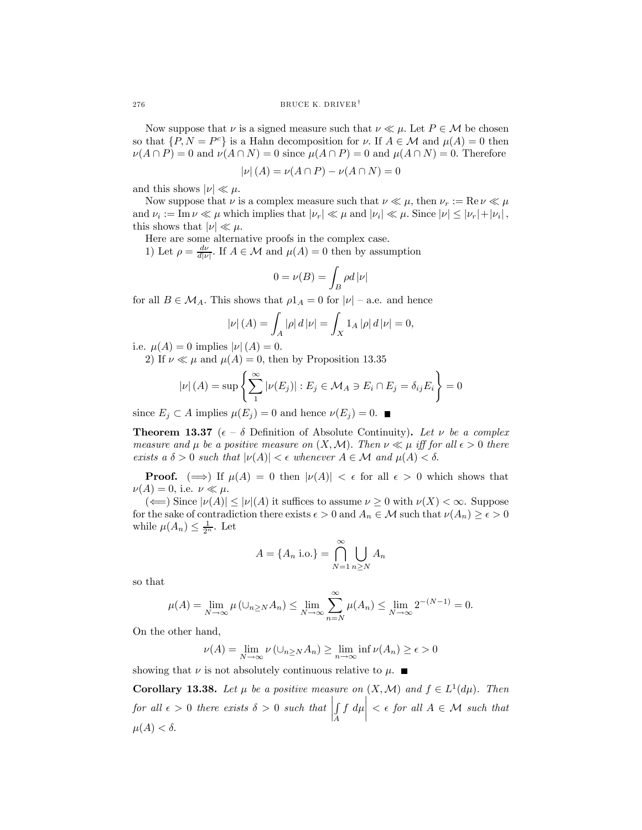Now suppose that  $\nu$  is a signed measure such that  $\nu \ll \mu$ . Let  $P \in \mathcal{M}$  be chosen so that  $\{P, N = P^c\}$  is a Hahn decomposition for  $\nu$ . If  $A \in \mathcal{M}$  and  $\mu(A) = 0$  then  $\nu(A \cap P) = 0$  and  $\nu(A \cap N) = 0$  since  $\mu(A \cap P) = 0$  and  $\mu(A \cap N) = 0$ . Therefore

$$
|\nu|(A) = \nu(A \cap P) - \nu(A \cap N) = 0
$$

and this shows  $|\nu| \ll \mu$ .

Now suppose that  $\nu$  is a complex measure such that  $\nu \ll \mu$ , then  $\nu_r := \text{Re}\,\nu \ll \mu$ and  $\nu_i := \text{Im}\,\nu \ll \mu$  which implies that  $|\nu_r| \ll \mu$  and  $|\nu_i| \ll \mu$ . Since  $|\nu| \leq |\nu_r| + |\nu_i|$ , this shows that  $|\nu| \ll \mu$ .

Here are some alternative proofs in the complex case.

1) Let  $\rho = \frac{d\nu}{d|\nu|}$ . If  $A \in \mathcal{M}$  and  $\mu(A) = 0$  then by assumption

$$
0=\nu(B)=\int_B \rho d\left|\nu\right|
$$

for all  $B \in \mathcal{M}_A$ . This shows that  $\rho 1_A = 0$  for  $|\nu|$  – a.e. and hence

$$
|\nu| (A) = \int_A |\rho| d|\nu| = \int_X 1_A |\rho| d|\nu| = 0,
$$

i.e.  $\mu(A)=0$  implies  $|\nu|(A)=0$ .

2) If  $\nu \ll \mu$  and  $\mu(A) = 0$ , then by Proposition 13.35

$$
|\nu|(A) = \sup \left\{ \sum_{1}^{\infty} |\nu(E_j)| : E_j \in \mathcal{M}_A \ni E_i \cap E_j = \delta_{ij} E_i \right\} = 0
$$

since  $E_j \subset A$  implies  $\mu(E_j) = 0$  and hence  $\nu(E_j) = 0$ .

**Theorem 13.37** ( $\epsilon - \delta$  Definition of Absolute Continuity). Let v be a complex measure and  $\mu$  be a positive measure on  $(X, \mathcal{M})$ . Then  $\nu \ll \mu$  iff for all  $\epsilon > 0$  there exists a  $\delta > 0$  such that  $|\nu(A)| < \epsilon$  whenever  $A \in \mathcal{M}$  and  $\mu(A) < \delta$ .

**Proof.**  $(\implies)$  If  $\mu(A) = 0$  then  $|\nu(A)| < \epsilon$  for all  $\epsilon > 0$  which shows that  $\nu(A)=0$ , i.e.  $\nu \ll \mu$ .

 $(\Leftarrow)$  Since  $|\nu(A)| \leq |\nu|(A)$  it suffices to assume  $\nu \geq 0$  with  $\nu(X) < \infty$ . Suppose for the sake of contradiction there exists  $\epsilon > 0$  and  $A_n \in \mathcal{M}$  such that  $\nu(A_n) \geq \epsilon > 0$ while  $\mu(A_n) \leq \frac{1}{2^n}$ . Let

$$
A = \{A_n \text{ i.o.}\} = \bigcap_{N=1}^{\infty} \bigcup_{n \geq N} A_n
$$

so that

$$
\mu(A) = \lim_{N \to \infty} \mu(\cup_{n \geq N} A_n) \leq \lim_{N \to \infty} \sum_{n=N}^{\infty} \mu(A_n) \leq \lim_{N \to \infty} 2^{-(N-1)} = 0.
$$

On the other hand,

$$
\nu(A) = \lim_{N \to \infty} \nu(\cup_{n \geq N} A_n) \geq \lim_{n \to \infty} \inf \nu(A_n) \geq \epsilon > 0
$$

showing that  $\nu$  is not absolutely continuous relative to  $\mu$ .

**Corollary 13.38.** Let  $\mu$  be a positive measure on  $(X, \mathcal{M})$  and  $f \in L^1(d\mu)$ . Then for all  $\epsilon > 0$  there exists  $\delta > 0$  such that ¯ ¯ ¯ ¯ R A  $f \, d\mu$  $\vert < \epsilon$  for all  $A \in \mathcal{M}$  such that  $\mu(A) < \delta$ .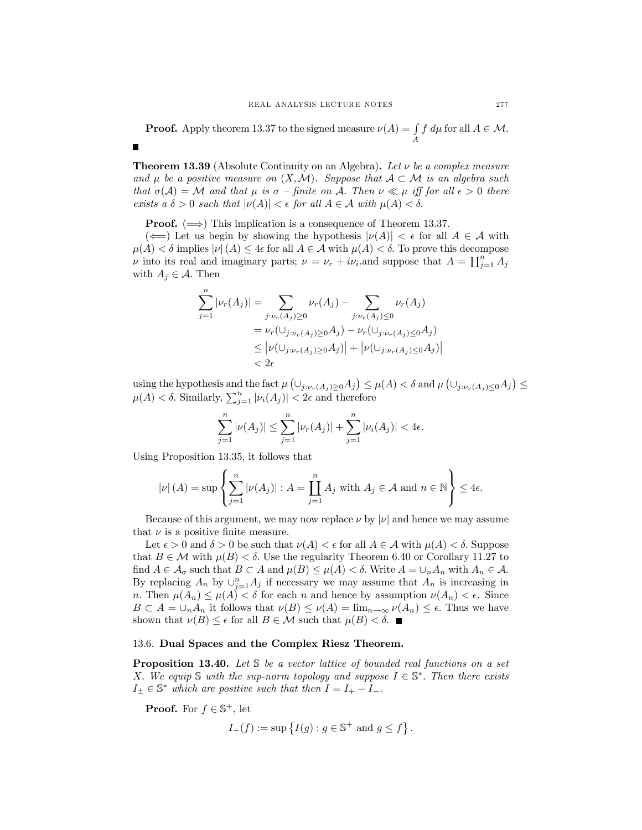**Proof.** Apply theorem 13.37 to the signed measure  $\nu(A) = \int$  $\int_A f d\mu$  for all  $A \in \mathcal{M}$ .

**Theorem 13.39** (Absolute Continuity on an Algebra). Let  $\nu$  be a complex measure and  $\mu$  be a positive measure on  $(X, \mathcal{M})$ . Suppose that  $\mathcal{A} \subset \mathcal{M}$  is an algebra such that  $\sigma(\mathcal{A}) = \mathcal{M}$  and that  $\mu$  is  $\sigma$  – finite on  $\mathcal{A}$ . Then  $\nu \ll \mu$  iff for all  $\epsilon > 0$  there exists a  $\delta > 0$  such that  $|\nu(A)| < \epsilon$  for all  $A \in \mathcal{A}$  with  $\mu(A) < \delta$ .

**Proof.**  $(\implies)$  This implication is a consequence of Theorem 13.37.

 $(\Leftarrow)$  Let us begin by showing the hypothesis  $|\nu(A)| < \epsilon$  for all  $A \in \mathcal{A}$  with  $\mu(A) < \delta$  implies  $|\nu(A)| \leq 4\epsilon$  for all  $A \in \mathcal{A}$  with  $\mu(A) < \delta$ . To prove this decompose *ν* into its real and imaginary parts;  $\nu = \nu_r + i\nu_i$  and suppose that  $A = \coprod_{j=1}^n A_j$ with  $A_j \in \mathcal{A}$ . Then

$$
\sum_{j=1}^{n} |\nu_r(A_j)| = \sum_{j:\nu_r(A_j)\geq 0} \nu_r(A_j) - \sum_{j:\nu_r(A_j)\leq 0} \nu_r(A_j)
$$
  
=  $\nu_r(\cup_{j:\nu_r(A_j)\geq 0} A_j) - \nu_r(\cup_{j:\nu_r(A_j)\leq 0} A_j)$   
 $\leq |\nu(\cup_{j:\nu_r(A_j)\geq 0} A_j)| + |\nu(\cup_{j:\nu_r(A_j)\leq 0} A_j)|$   
 $< 2\epsilon$ 

using the hypothesis and the fact  $\mu\left(\cup_{j:\nu_r(A_j)\geq 0}A_j\right) \leq \mu(A) < \delta$  and  $\mu\left(\cup_{j:\nu_r(A_j)\leq 0}A_j\right) \leq$  $\mu(A) < \delta$ . Similarly,  $\sum_{j=1}^{n} |\nu_i(A_j)| < 2\epsilon$  and therefore

$$
\sum_{j=1}^{n} |\nu(A_j)| \leq \sum_{j=1}^{n} |\nu_r(A_j)| + \sum_{j=1}^{n} |\nu_i(A_j)| < 4\epsilon.
$$

Using Proposition 13.35, it follows that

$$
|\nu|(A) = \sup \left\{ \sum_{j=1}^{n} |\nu(A_j)| : A = \prod_{j=1}^{n} A_j \text{ with } A_j \in \mathcal{A} \text{ and } n \in \mathbb{N} \right\} \le 4\epsilon.
$$

Because of this argument, we may now replace  $\nu$  by  $|\nu|$  and hence we may assume that  $\nu$  is a positive finite measure.

Let  $\epsilon > 0$  and  $\delta > 0$  be such that  $\nu(A) < \epsilon$  for all  $A \in \mathcal{A}$  with  $\mu(A) < \delta$ . Suppose that  $B \in \mathcal{M}$  with  $\mu(B) < \delta$ . Use the regularity Theorem 6.40 or Corollary 11.27 to find  $A \in \mathcal{A}_{\sigma}$  such that  $B \subset A$  and  $\mu(B) \leq \mu(A) < \delta$ . Write  $A = \bigcup_{n} A_n$  with  $A_n \in \mathcal{A}$ . By replacing  $A_n$  by  $\cup_{j=1}^n A_j$  if necessary we may assume that  $A_n$  is increasing in n. Then  $\mu(A_n) \leq \mu(A) < \delta$  for each n and hence by assumption  $\nu(A_n) < \epsilon$ . Since  $B \subset A = \bigcup_n A_n$  it follows that  $\nu(B) \leq \nu(A) = \lim_{n \to \infty} \nu(A_n) \leq \epsilon$ . Thus we have shown that  $\nu(B) \leq \epsilon$  for all  $B \in \mathcal{M}$  such that  $\mu(B) < \delta$ .

#### 13.6. Dual Spaces and the Complex Riesz Theorem.

**Proposition 13.40.** Let  $S$  be a vector lattice of bounded real functions on a set X. We equip S with the sup-norm topology and suppose  $I \in \mathbb{S}^*$ . Then there exists  $I_{\pm} \in \mathbb{S}^*$  which are positive such that then  $I = I_{+} - I_{-}$ .

**Proof.** For  $f \in \mathbb{S}^+$ , let

$$
I_+(f):=\sup\left\{I(g):g\in\mathbb{S}^+\text{ and }g\leq f\right\}.
$$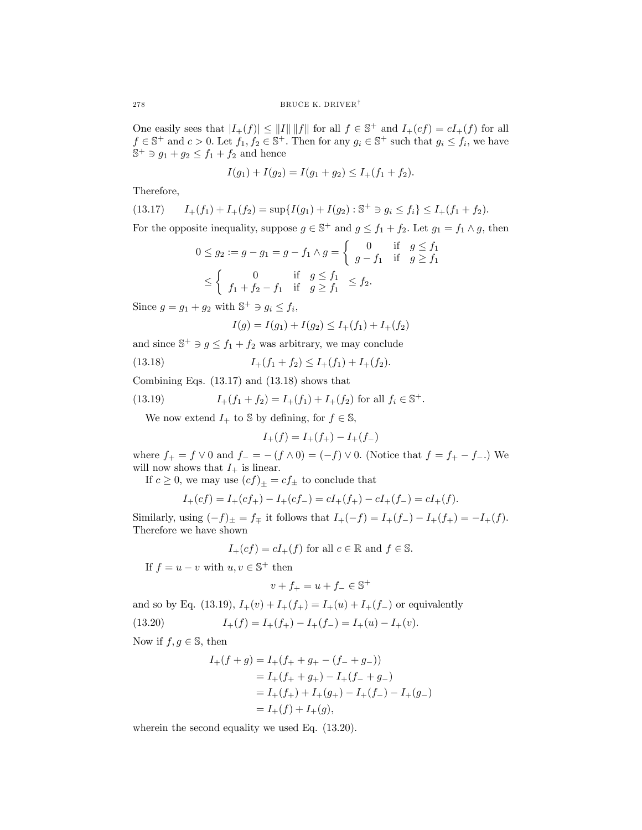One easily sees that  $|I_+(f)| \le ||I|| \, ||f||$  for all  $f \in \mathbb{S}^+$  and  $I_+(cf) = cI_+(f)$  for all  $f \in \mathbb{S}^+$  and  $c > 0$ . Let  $f_1, f_2 \in \mathbb{S}^+$ . Then for any  $g_i \in \mathbb{S}^+$  such that  $g_i \leq f_i$ , we have  $\mathbb{S}^+ \ni g_1 + g_2 \leq f_1 + f_2$  and hence

$$
I(g_1) + I(g_2) = I(g_1 + g_2) \le I_+(f_1 + f_2).
$$

Therefore,

$$
(13.17) \qquad I_+(f_1) + I_+(f_2) = \sup\{I(g_1) + I(g_2) : \mathbb{S}^+ \ni g_i \le f_i\} \le I_+(f_1 + f_2).
$$

For the opposite inequality, suppose  $g \in \mathbb{S}^+$  and  $g \leq f_1 + f_2$ . Let  $g_1 = f_1 \wedge g$ , then

$$
0 \le g_2 := g - g_1 = g - f_1 \wedge g = \begin{cases} 0 & \text{if } g \le f_1 \\ g - f_1 & \text{if } g \ge f_1 \end{cases}
$$
  

$$
\le \begin{cases} 0 & \text{if } g \le f_1 \\ f_1 + f_2 - f_1 & \text{if } g \ge f_1 \end{cases} \le f_2.
$$

Since  $q = q_1 + q_2$  with  $\mathbb{S}^+ \ni q_i \leq f_i$ ,

$$
I(g) = I(g_1) + I(g_2) \le I_+(f_1) + I_+(f_2)
$$

and since  $\mathbb{S}^+ \ni g \leq f_1 + f_2$  was arbitrary, we may conclude

(13.18) 
$$
I_{+}(f_{1}+f_{2}) \leq I_{+}(f_{1})+I_{+}(f_{2}).
$$

Combining Eqs. (13.17) and (13.18) shows that

(13.19) 
$$
I_{+}(f_{1}+f_{2})=I_{+}(f_{1})+I_{+}(f_{2}) \text{ for all } f_{i} \in \mathbb{S}^{+}.
$$

We now extend  $I_+$  to  $\mathbb S$  by defining, for  $f \in \mathbb S$ ,

$$
I_+(f) = I_+(f_+) - I_+(f_-)
$$

where  $f_{+} = f \vee 0$  and  $f_{-} = -(f \wedge 0) = (-f) \vee 0$ . (Notice that  $f = f_{+} - f_{-}$ .) We will now shows that  $I_+$  is linear.

If  $c\geq 0,$  we may use  $\left( cf\right) _{\pm }=cf_{\pm }$  to conclude that

$$
I_{+}(cf)=I_{+}(cf_{+})-I_{+}(cf_{-})=cI_{+}(f_{+})-cI_{+}(f_{-})=cI_{+}(f).
$$

Similarly, using  $(-f)_{\pm} = f_{\mp}$  it follows that  $I_{+}(-f) = I_{+}(f_{-}) - I_{+}(f_{+}) = -I_{+}(f)$ . Therefore we have shown

$$
I_+(cf) = cI_+(f)
$$
 for all  $c \in \mathbb{R}$  and  $f \in \mathbb{S}$ .

If  $f = u - v$  with  $u, v \in \mathbb{S}^+$  then

$$
v + f_+ = u + f_- \in \mathbb{S}^+
$$

and so by Eq. (13.19),  $I_+(v) + I_+(f_+) = I_+(u) + I_+(f_-)$  or equivalently

(13.20) 
$$
I_{+}(f) = I_{+}(f_{+}) - I_{+}(f_{-}) = I_{+}(u) - I_{+}(v).
$$

Now if  $f, g \in \mathbb{S}$ , then

$$
I_{+}(f+g) = I_{+}(f_{+} + g_{+} - (f_{-} + g_{-}))
$$
  
= I\_{+}(f\_{+} + g\_{+}) - I\_{+}(f\_{-} + g\_{-})  
= I\_{+}(f\_{+}) + I\_{+}(g\_{+}) - I\_{+}(f\_{-}) - I\_{+}(g\_{-})  
= I\_{+}(f) + I\_{+}(g),

wherein the second equality we used Eq.  $(13.20)$ .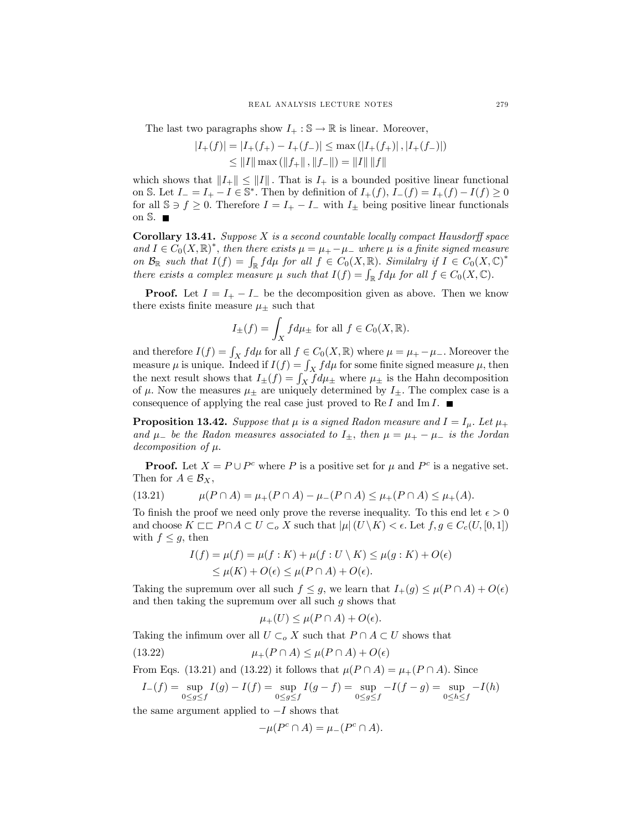The last two paragraphs show  $I_+ : \mathbb{S} \to \mathbb{R}$  is linear. Moreover,

$$
|I_{+}(f)| = |I_{+}(f_{+}) - I_{+}(f_{-})| \le \max (|I_{+}(f_{+})|, |I_{+}(f_{-})|)
$$
  

$$
\le ||I|| \max (||f_{+}||, ||f_{-}||) = ||I|| ||f||
$$

which shows that  $||I_+|| \le ||I||$ . That is  $I_+$  is a bounded positive linear functional on S. Let  $I_-=I_+-I\in\mathbb{S}^*$ . Then by definition of  $I_+(f)$ ,  $I_-(f)=I_+(f)-I(f)\geq 0$ for all  $\mathbb{S} \ni f \geq 0$ . Therefore  $I = I_+ - I_-$  with  $I_{\pm}$  being positive linear functionals on  $\mathbb{S}$ .

**Corollary 13.41.** Suppose  $X$  is a second countable locally compact Hausdorff space and  $I \in C_0(X, \mathbb{R})^*$ , then there exists  $\mu = \mu_+ - \mu_-$  where  $\mu$  is a finite signed measure on  $\mathcal{B}_{\mathbb{R}}$  such that  $I(f) = \int_{\mathbb{R}} f d\mu$  for all  $f \in C_0(X, \mathbb{R})$ . Similalry if  $I \in C_0(X, \mathbb{C})^*$ there exists a complex measure  $\mu$  such that  $I(f) = \int_{\mathbb{R}} f d\mu$  for all  $f \in C_0(X, \mathbb{C})$ .

**Proof.** Let  $I = I_+ - I_-$  be the decomposition given as above. Then we know there exists finite measure  $\mu_{\pm}$  such that

$$
I_{\pm}(f) = \int_X f d\mu_{\pm} \text{ for all } f \in C_0(X, \mathbb{R}).
$$

and therefore  $I(f) = \int_X f d\mu$  for all  $f \in C_0(X, \mathbb{R})$  where  $\mu = \mu_+ - \mu_-$ . Moreover the measure  $\mu$  is unique. Indeed if  $I(f) = \int_X f d\mu$  for some finite signed measure  $\mu$ , then the next result shows that  $I_{\pm}(f) = \int_X f d\mu_{\pm}$  where  $\mu_{\pm}$  is the Hahn decomposition of  $\mu$ . Now the measures  $\mu_{\pm}$  are uniquely determined by  $I_{\pm}$ . The complex case is a consequence of applying the real case just proved to Re I and Im I.  $\blacksquare$ 

**Proposition 13.42.** Suppose that  $\mu$  is a signed Radon measure and  $I = I_{\mu}$ . Let  $\mu_{+}$ and  $\mu$ <sub>−</sub> be the Radon measures associated to  $I_{\pm}$ , then  $\mu = \mu_{+} - \mu_{-}$  is the Jordan decomposition of  $\mu$ .

**Proof.** Let  $X = P \cup P^c$  where P is a positive set for  $\mu$  and  $P^c$  is a negative set. Then for  $A \in \mathcal{B}_X$ ,

(13.21) 
$$
\mu(P \cap A) = \mu_+(P \cap A) - \mu_-(P \cap A) \le \mu_+(P \cap A) \le \mu_+(A).
$$

To finish the proof we need only prove the reverse inequality. To this end let  $\epsilon > 0$ and choose  $K \sqsubset\sqsubset P \cap A \subset U \subset_{o} X$  such that  $|\mu|(U \setminus K) < \epsilon$ . Let  $f, g \in C_c(U, [0, 1])$ with  $f \leq g$ , then

$$
I(f) = \mu(f) = \mu(f : K) + \mu(f : U \setminus K) \le \mu(g : K) + O(\epsilon)
$$
  
 
$$
\le \mu(K) + O(\epsilon) \le \mu(P \cap A) + O(\epsilon).
$$

Taking the supremum over all such  $f \leq g$ , we learn that  $I_+(g) \leq \mu(P \cap A) + O(\epsilon)$ and then taking the supremum over all such  $g$  shows that

$$
\mu_+(U) \le \mu(P \cap A) + O(\epsilon).
$$

Taking the infimum over all  $U \subset_o X$  such that  $P \cap A \subset U$  shows that

(13.22) 
$$
\mu_+(P \cap A) \leq \mu(P \cap A) + O(\epsilon)
$$

From Eqs. (13.21) and (13.22) it follows that  $\mu(P \cap A) = \mu_+(P \cap A)$ . Since

$$
I_{-}(f) = \sup_{0 \le g \le f} I(g) - I(f) = \sup_{0 \le g \le f} I(g - f) = \sup_{0 \le g \le f} -I(f - g) = \sup_{0 \le h \le f} -I(h)
$$

the same argument applied to  $-I$  shows that

$$
-\mu(P^c \cap A) = \mu_-(P^c \cap A).
$$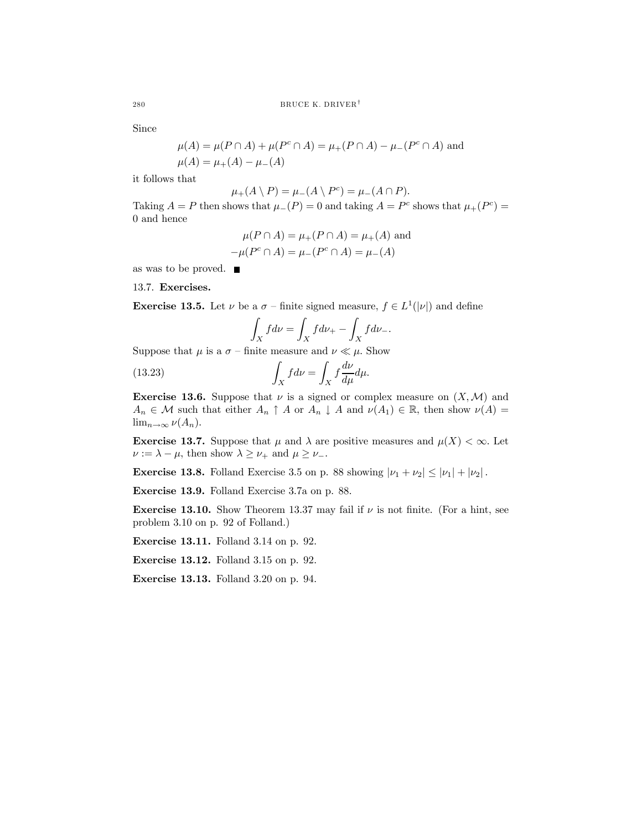Since

$$
\mu(A) = \mu(P \cap A) + \mu(P^c \cap A) = \mu_+(P \cap A) - \mu_-(P^c \cap A)
$$
 and  

$$
\mu(A) = \mu_+(A) - \mu_-(A)
$$

it follows that

 $\mu_+(A \setminus P) = \mu_-(A \setminus P^c) = \mu_-(A \cap P).$ 

Taking  $A = P$  then shows that  $\mu_-(P) = 0$  and taking  $A = P^c$  shows that  $\mu_+(P^c) =$ 0 and hence

$$
\mu(P \cap A) = \mu_{+}(P \cap A) = \mu_{+}(A)
$$
 and  
\n $-\mu(P^{c} \cap A) = \mu_{-}(P^{c} \cap A) = \mu_{-}(A)$ 

as was to be proved.

13.7. Exercises.

**Exercise 13.5.** Let  $\nu$  be a  $\sigma$  – finite signed measure,  $f \in L^1(|\nu|)$  and define

$$
\int_X f d\nu = \int_X f d\nu_+ - \int_X f d\nu_-.
$$

Suppose that  $\mu$  is a  $\sigma$  – finite measure and  $\nu \ll \mu$ . Show

(13.23) 
$$
\int_X f d\nu = \int_X f \frac{d\nu}{d\mu} d\mu.
$$

**Exercise 13.6.** Suppose that  $\nu$  is a signed or complex measure on  $(X, \mathcal{M})$  and  $A_n \in \mathcal{M}$  such that either  $A_n \uparrow A$  or  $A_n \downarrow A$  and  $\nu(A_1) \in \mathbb{R}$ , then show  $\nu(A) =$  $\lim_{n\to\infty}\nu(A_n).$ 

**Exercise 13.7.** Suppose that  $\mu$  and  $\lambda$  are positive measures and  $\mu(X) < \infty$ . Let  $\nu := \lambda - \mu$ , then show  $\lambda \geq \nu_+$  and  $\mu \geq \nu_-$ .

**Exercise 13.8.** Folland Exercise 3.5 on p. 88 showing  $|\nu_1 + \nu_2| \leq |\nu_1| + |\nu_2|$ .

Exercise 13.9. Folland Exercise 3.7a on p. 88.

**Exercise 13.10.** Show Theorem 13.37 may fail if  $\nu$  is not finite. (For a hint, see problem 3.10 on p. 92 of Folland.)

Exercise 13.11. Folland 3.14 on p. 92.

Exercise 13.12. Folland 3.15 on p. 92.

Exercise 13.13. Folland 3.20 on p. 94.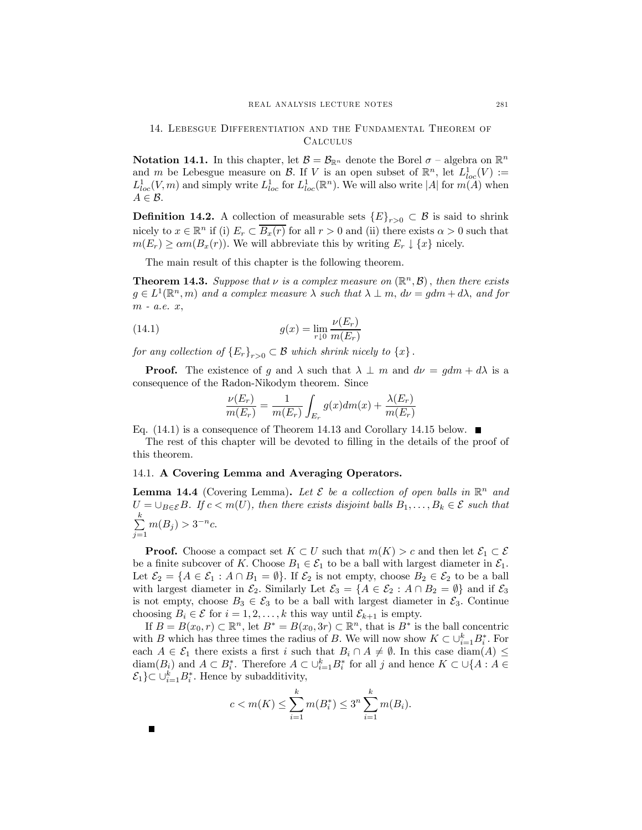## 14. Lebesgue Differentiation and the Fundamental Theorem of Calculus

**Notation 14.1.** In this chapter, let  $\mathcal{B} = \mathcal{B}_{\mathbb{R}^n}$  denote the Borel  $\sigma$  – algebra on  $\mathbb{R}^n$ and m be Lebesgue measure on B. If V is an open subset of  $\mathbb{R}^n$ , let  $L^1_{loc}(V) :=$  $L^1_{loc}(V,m)$  and simply write  $L^1_{loc}$  for  $L^1_{loc}(\mathbb{R}^n)$ . We will also write |A| for  $m(A)$  when  $A \in \mathcal{B}$ .

**Definition 14.2.** A collection of measurable sets  ${E}_{r>0} \subset B$  is said to shrink nicely to  $x \in \mathbb{R}^n$  if (i)  $E_r \subset \overline{B_x(r)}$  for all  $r > 0$  and (ii) there exists  $\alpha > 0$  such that  $m(E_r) \geq \alpha m(B_x(r))$ . We will abbreviate this by writing  $E_r \downarrow \{x\}$  nicely.

The main result of this chapter is the following theorem.

**Theorem 14.3.** Suppose that  $\nu$  is a complex measure on  $(\mathbb{R}^n, \mathcal{B})$ , then there exists  $g \in L^1(\mathbb{R}^n, m)$  and a complex measure  $\lambda$  such that  $\lambda \perp m$ ,  $d\nu = gdm + d\lambda$ , and for m - a.e. x,

(14.1) 
$$
g(x) = \lim_{r \downarrow 0} \frac{\nu(E_r)}{m(E_r)}
$$

for any collection of  ${E_r}_{r>0} \subset B$  which shrink nicely to  ${x}$ .

**Proof.** The existence of q and  $\lambda$  such that  $\lambda \perp m$  and  $d\nu = qdm + d\lambda$  is a consequence of the Radon-Nikodym theorem. Since

$$
\frac{\nu(E_r)}{m(E_r)} = \frac{1}{m(E_r)} \int_{E_r} g(x) dm(x) + \frac{\lambda(E_r)}{m(E_r)}
$$

Eq. (14.1) is a consequence of Theorem 14.13 and Corollary 14.15 below.  $\blacksquare$ 

The rest of this chapter will be devoted to filling in the details of the proof of this theorem.

# 14.1. A Covering Lemma and Averaging Operators.

 $\blacksquare$ 

**Lemma 14.4** (Covering Lemma). Let  $\mathcal{E}$  be a collection of open balls in  $\mathbb{R}^n$  and  $U = \bigcup_{B \in \mathcal{E}} B$ . If  $c < m(U)$ , then there exists disjoint balls  $B_1, \ldots, B_k \in \mathcal{E}$  such that  $\sum_{i=1}^{k}$  $\sum_{j=1}^{\infty} m(B_j) > 3^{-n}c.$ 

**Proof.** Choose a compact set  $K \subset U$  such that  $m(K) > c$  and then let  $\mathcal{E}_1 \subset \mathcal{E}$ be a finite subcover of K. Choose  $B_1 \in \mathcal{E}_1$  to be a ball with largest diameter in  $\mathcal{E}_1$ . Let  $\mathcal{E}_2 = \{A \in \mathcal{E}_1 : A \cap B_1 = \emptyset\}$ . If  $\mathcal{E}_2$  is not empty, choose  $B_2 \in \mathcal{E}_2$  to be a ball with largest diameter in  $\mathcal{E}_2$ . Similarly Let  $\mathcal{E}_3 = \{A \in \mathcal{E}_2 : A \cap B_2 = \emptyset\}$  and if  $\mathcal{E}_3$ is not empty, choose  $B_3 \in \mathcal{E}_3$  to be a ball with largest diameter in  $\mathcal{E}_3$ . Continue choosing  $B_i \in \mathcal{E}$  for  $i = 1, 2, ..., k$  this way until  $\mathcal{E}_{k+1}$  is empty.

If  $B = B(x_0, r) \subset \mathbb{R}^n$ , let  $B^* = B(x_0, 3r) \subset \mathbb{R}^n$ , that is  $B^*$  is the ball concentric with B which has three times the radius of B. We will now show  $K \subset \cup_{i=1}^k B_i^*$ . For each  $A \in \mathcal{E}_1$  there exists a first i such that  $B_i \cap A \neq \emptyset$ . In this case diam(A)  $\leq$  $\text{diam}(B_i)$  and  $A \subset B_i^*$ . Therefore  $A \subset \bigcup_{i=1}^k B_i^*$  for all j and hence  $K \subset \bigcup\{A : A \in$  $\mathcal{E}_1$ } $\subset \cup_{i=1}^k B_i^*$ . Hence by subadditivity,

$$
c < m(K) \le \sum_{i=1}^{k} m(B_i^*) \le 3^n \sum_{i=1}^{k} m(B_i).
$$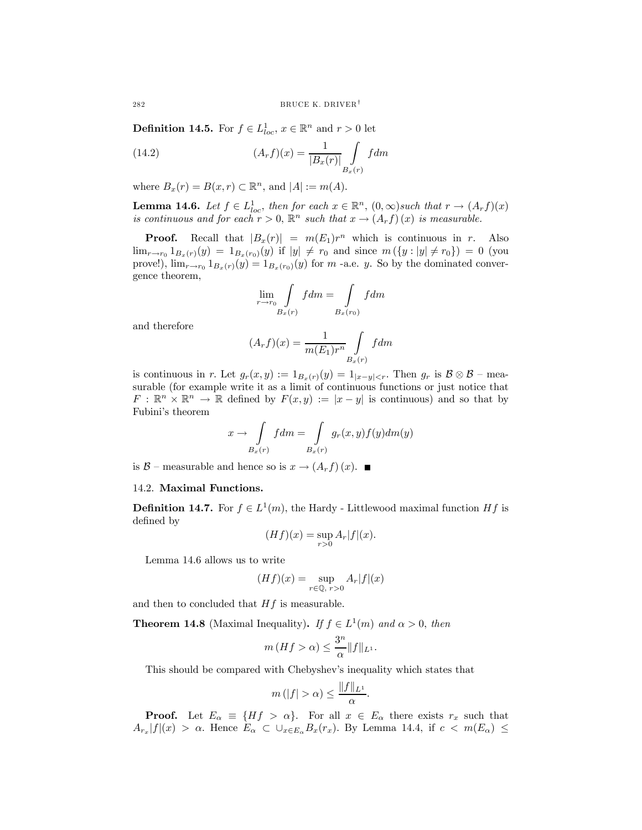**Definition 14.5.** For  $f \in L^1_{loc}$ ,  $x \in \mathbb{R}^n$  and  $r > 0$  let

(14.2) 
$$
(A_r f)(x) = \frac{1}{|B_x(r)|} \int_{B_x(r)} f dm
$$

where  $B_x(r) = B(x, r) \subset \mathbb{R}^n$ , and  $|A| := m(A)$ .

**Lemma 14.6.** Let  $f \in L_{loc}^1$ , then for each  $x \in \mathbb{R}^n$ ,  $(0, \infty)$  such that  $r \to (A_r f)(x)$ is continuous and for each  $r > 0$ ,  $\mathbb{R}^n$  such that  $x \to (A_r f)(x)$  is measurable.

**Proof.** Recall that  $|B_x(r)| = m(E_1)r^n$  which is continuous in r. Also  $\lim_{r \to r_0} 1_{B_x(r)}(y) = 1_{B_x(r_0)}(y)$  if  $|y| \neq r_0$  and since  $m(\{y : |y| \neq r_0\})=0$  (you prove!),  $\lim_{r\to r_0} 1_{B_x(r)}(y)=1_{B_x(r_0)}(y)$  for m -a.e. y. So by the dominated convergence theorem,

$$
\lim_{r \to r_0} \int_{B_x(r)} f dm = \int_{B_x(r_0)} f dm
$$

and therefore

$$
(A_r f)(x) = \frac{1}{m(E_1)r^n} \int\limits_{B_x(r)} f dm
$$

is continuous in r. Let  $g_r(x, y) := 1_{B_x(r)}(y) = 1_{|x-y|. Then  $g_r$  is  $\mathcal{B} \otimes \mathcal{B}$  – mea$ surable (for example write it as a limit of continuous functions or just notice that  $F: \mathbb{R}^n \times \mathbb{R}^n \to \mathbb{R}$  defined by  $F(x, y) := |x - y|$  is continuous) and so that by Fubini's theorem

$$
x \to \int\limits_{B_x(r)} f dm = \int\limits_{B_x(r)} g_r(x, y) f(y) dm(y)
$$

is  $\mathcal{B}$  – measurable and hence so is  $x \rightarrow (A_r f)(x)$ . ■

### 14.2. Maximal Functions.

**Definition 14.7.** For  $f \in L^1(m)$ , the Hardy - Littlewood maximal function H f is defined by

$$
(Hf)(x) = \sup_{r>0} A_r |f|(x).
$$

Lemma 14.6 allows us to write

$$
(Hf)(x) = \sup_{r \in \mathbb{Q}, r > 0} A_r |f|(x)
$$

and then to concluded that  $Hf$  is measurable.

**Theorem 14.8** (Maximal Inequality). If  $f \in L^1(m)$  and  $\alpha > 0$ , then

$$
m(Hf > \alpha) \le \frac{3^n}{\alpha} ||f||_{L^1}.
$$

This should be compared with Chebyshev's inequality which states that

$$
m(|f| > \alpha) \le \frac{\|f\|_{L^1}}{\alpha}.
$$

**Proof.** Let  $E_{\alpha} \equiv \{Hf > \alpha\}$ . For all  $x \in E_{\alpha}$  there exists  $r_x$  such that  $A_{r_x}|f|(x) > \alpha$ . Hence  $E_{\alpha} \subset \cup_{x \in E_{\alpha}} B_x(r_x)$ . By Lemma 14.4, if  $c < m(E_{\alpha}) \le$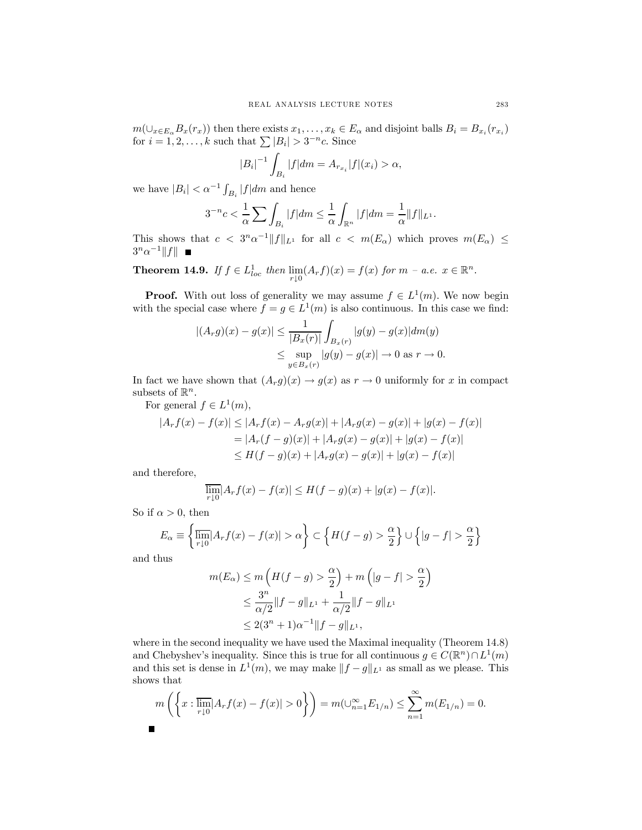$m(\cup_{x\in E_\alpha} B_x(r_x))$  then there exists  $x_1,\ldots,x_k\in E_\alpha$  and disjoint balls  $B_i=B_{x_i}(r_{x_i})$ for  $i = 1, 2, ..., k$  such that  $\sum |B_i| > 3^{-n}c$ . Since

$$
|B_i|^{-1} \int_{B_i} |f| dm = A_{r_{x_i}} |f|(x_i) > \alpha,
$$

we have  $|B_i| < \alpha^{-1} \int_{B_i} |f| dm$  and hence

$$
3^{-n}c<\frac{1}{\alpha}\sum \int_{B_i}|f|dm\leq \frac{1}{\alpha}\int_{\mathbb{R}^n}|f|dm=\frac{1}{\alpha}\|f\|_{L^1}.
$$

This shows that  $c < 3^n \alpha^{-1} ||f||_{L^1}$  for all  $c < m(E_\alpha)$  which proves  $m(E_\alpha) \le$  $3^n\alpha^{-1}||f||$  ■

**Theorem 14.9.** If  $f \in L^1_{loc}$  then  $\lim_{r \downarrow 0} (A_r f)(x) = f(x)$  for  $m - a.e.$   $x \in \mathbb{R}^n$ .

**Proof.** With out loss of generality we may assume  $f \in L^1(m)$ . We now begin with the special case where  $f = g \in L^1(m)$  is also continuous. In this case we find:

$$
|(A_r g)(x) - g(x)| \le \frac{1}{|B_x(r)|} \int_{B_x(r)} |g(y) - g(x)| dm(y)
$$
  

$$
\le \sup_{y \in B_x(r)} |g(y) - g(x)| \to 0 \text{ as } r \to 0.
$$

In fact we have shown that  $(A_r g)(x) \to g(x)$  as  $r \to 0$  uniformly for x in compact subsets of  $\mathbb{R}^n$ .

For general  $f \in L^1(m)$ ,

$$
|A_r f(x) - f(x)| \le |A_r f(x) - A_r g(x)| + |A_r g(x) - g(x)| + |g(x) - f(x)|
$$
  
= |A\_r(f - g)(x)| + |A\_r g(x) - g(x)| + |g(x) - f(x)|  

$$
\le H(f - g)(x) + |A_r g(x) - g(x)| + |g(x) - f(x)|
$$

and therefore,

$$
\overline{\lim_{r\downarrow 0}}|A_rf(x) - f(x)| \le H(f-g)(x) + |g(x) - f(x)|.
$$

So if  $\alpha > 0$ , then

$$
E_{\alpha} \equiv \left\{ \frac{\overline{\lim}}{r \downarrow 0} |A_r f(x) - f(x)| > \alpha \right\} \subset \left\{ H(f - g) > \frac{\alpha}{2} \right\} \cup \left\{ |g - f| > \frac{\alpha}{2} \right\}
$$

and thus

$$
m(E_{\alpha}) \le m\left(H(f - g) > \frac{\alpha}{2}\right) + m\left(|g - f| > \frac{\alpha}{2}\right)
$$
  
 
$$
\le \frac{3^n}{\alpha/2} \|f - g\|_{L^1} + \frac{1}{\alpha/2} \|f - g\|_{L^1}
$$
  
 
$$
\le 2(3^n + 1)\alpha^{-1} \|f - g\|_{L^1},
$$

where in the second inequality we have used the Maximal inequality (Theorem 14.8) and Chebyshev's inequality. Since this is true for all continuous  $g \in C(\mathbb{R}^n) \cap L^1(m)$ and this set is dense in  $L^1(m)$ , we may make  $||f - g||_{L^1}$  as small as we please. This shows that

$$
m\left(\left\{x:\frac{1}{\ln n}|A_rf(x)-f(x)|>0\right\}\right)=m(\bigcup_{n=1}^{\infty}E_{1/n})\leq\sum_{n=1}^{\infty}m(E_{1/n})=0.
$$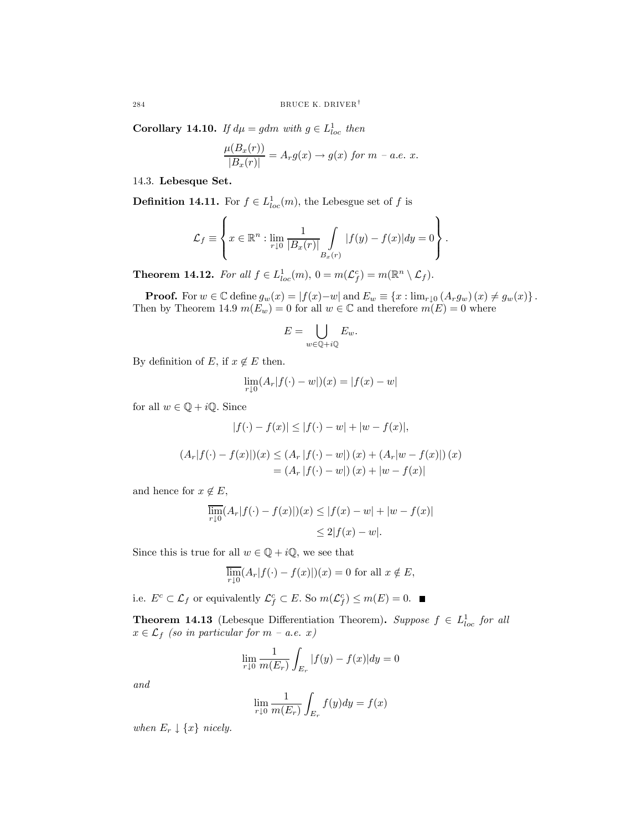**Corollary 14.10.** If  $d\mu = gdm$  with  $g \in L^1_{loc}$  then

$$
\frac{\mu(B_x(r))}{|B_x(r)|} = A_r g(x) \rightarrow g(x) \text{ for } m-a.e. x.
$$

14.3. Lebesque Set.

**Definition 14.11.** For  $f \in L^1_{loc}(m)$ , the Lebesgue set of f is

$$
\mathcal{L}_f \equiv \left\{ x \in \mathbb{R}^n : \lim_{r \downarrow 0} \frac{1}{|B_x(r)|} \int_{B_x(r)} |f(y) - f(x)| dy = 0 \right\}.
$$

**Theorem 14.12.** For all  $f \in L^1_{loc}(m)$ ,  $0 = m(\mathcal{L}_f^c) = m(\mathbb{R}^n \setminus \mathcal{L}_f)$ .

**Proof.** For  $w \in \mathbb{C}$  define  $g_w(x) = |f(x)-w|$  and  $E_w \equiv \{x : \lim_{r \downarrow 0} (A_r g_w)(x) \neq g_w(x)\}.$ Then by Theorem 14.9  $m(E_w)=0$  for all  $w \in \mathbb{C}$  and therefore  $m(E)=0$  where

$$
E = \bigcup_{w \in \mathbb{Q} + i\mathbb{Q}} E_w.
$$

By definition of E, if  $x \notin E$  then.

$$
\lim_{r \downarrow 0} (A_r | f(\cdot) - w|)(x) = |f(x) - w|
$$

for all  $w \in \mathbb{Q} + i\mathbb{Q}$ . Since

$$
|f(\cdot) - f(x)| \le |f(\cdot) - w| + |w - f(x)|,
$$

$$
(A_r|f(\cdot) - f(x)|)(x) \le (A_r|f(\cdot) - w|)(x) + (A_r|w - f(x)|)(x)
$$
  
=  $(A_r|f(\cdot) - w|)(x) + |w - f(x)|$ 

and hence for  $x \notin E$ ,

$$
\overline{\lim}_{r \downarrow 0} (A_r |f(\cdot) - f(x)|)(x) \le |f(x) - w| + |w - f(x)|
$$
  

$$
\le 2|f(x) - w|.
$$

Since this is true for all  $w \in \mathbb{Q} + i\mathbb{Q}$ , we see that

$$
\overline{\lim}_{r\downarrow 0} (A_r |f(\cdot) - f(x)|)(x) = 0
$$
 for all  $x \notin E$ ,

i.e.  $E^c \subset \mathcal{L}_f$  or equivalently  $\mathcal{L}_f^c \subset E$ . So  $m(\mathcal{L}_f^c) \le m(E) = 0$ .

**Theorem 14.13** (Lebesque Differentiation Theorem). Suppose  $f \in L^1_{loc}$  for all  $x \in \mathcal{L}_f$  (so in particular for  $m - a.e.$  x)

$$
\lim_{r \downarrow 0} \frac{1}{m(E_r)} \int_{E_r} |f(y) - f(x)| dy = 0
$$

and

$$
\lim_{r \downarrow 0} \frac{1}{m(E_r)} \int_{E_r} f(y) dy = f(x)
$$

when  $E_r \downarrow \{x\}$  nicely.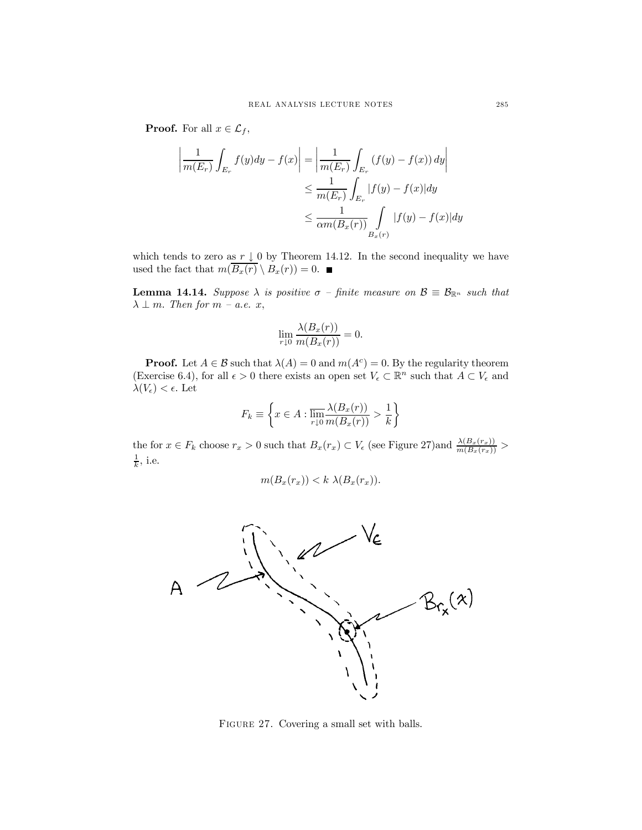**Proof.** For all  $x \in \mathcal{L}_f$ ,

$$
\left| \frac{1}{m(E_r)} \int_{E_r} f(y) dy - f(x) \right| = \left| \frac{1}{m(E_r)} \int_{E_r} (f(y) - f(x)) dy \right|
$$
  

$$
\leq \frac{1}{m(E_r)} \int_{E_r} |f(y) - f(x)| dy
$$
  

$$
\leq \frac{1}{\alpha m(B_x(r))} \int_{B_x(r)} |f(y) - f(x)| dy
$$

which tends to zero as  $r \downarrow 0$  by Theorem 14.12. In the second inequality we have used the fact that  $m(\overline{B_x(r)} \setminus B_x(r)) = 0$ .

**Lemma 14.14.** Suppose  $\lambda$  is positive  $\sigma$  – finite measure on  $\mathcal{B} \equiv \mathcal{B}_{\mathbb{R}^n}$  such that  $\lambda \perp m$ . Then for  $m$  – a.e.  $x$ ,

$$
\lim_{r \downarrow 0} \frac{\lambda(B_x(r))}{m(B_x(r))} = 0.
$$

**Proof.** Let  $A \in \mathcal{B}$  such that  $\lambda(A) = 0$  and  $m(A^c) = 0$ . By the regularity theorem (Exercise 6.4), for all  $\epsilon > 0$  there exists an open set  $V_{\epsilon} \subset \mathbb{R}^n$  such that  $A \subset V_{\epsilon}$  and  $\lambda(V_{\epsilon}) < \epsilon$ . Let

$$
F_k \equiv \left\{ x \in A : \overline{\lim_{r \downarrow 0} \frac{\lambda(B_x(r))}{m(B_x(r))}} > \frac{1}{k} \right\}
$$

the for  $x \in F_k$  choose  $r_x > 0$  such that  $B_x(r_x) \subset V_{\epsilon}$  (see Figure 27) and  $\frac{\lambda(B_x(r_x))}{m(B_x(r_x))} >$  $\frac{1}{k}$ , i.e.

$$
m(B_x(r_x)) < k \lambda(B_x(r_x)).
$$



FIGURE 27. Covering a small set with balls.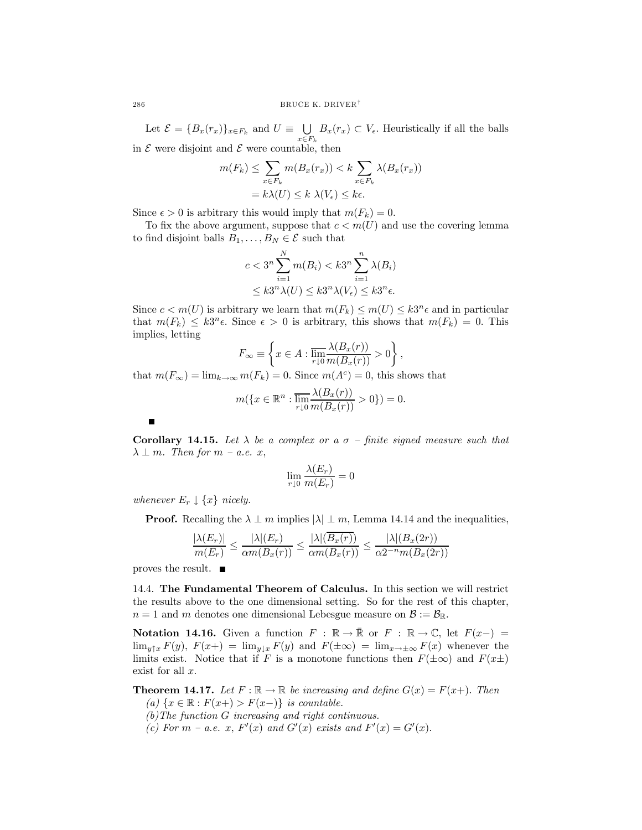Let  $\mathcal{E} = \{B_x(r_x)\}_{x \in F_k}$  and  $U \equiv \bigcup_{x \in F_k} B_x(r_x) \subset V_{\epsilon}$ . Heuristically if all the balls in  $\mathcal E$  were disjoint and  $\mathcal E$  were countable, then

$$
m(F_k) \leq \sum_{x \in F_k} m(B_x(r_x)) < k \sum_{x \in F_k} \lambda(B_x(r_x))
$$
\n
$$
= k \lambda(U) \leq k \lambda(V_{\epsilon}) \leq k\epsilon.
$$

Since  $\epsilon > 0$  is arbitrary this would imply that  $m(F_k)=0$ .

To fix the above argument, suppose that  $c < m(U)$  and use the covering lemma to find disjoint balls  $B_1, \ldots, B_N \in \mathcal{E}$  such that

$$
c < 3^n \sum_{i=1}^N m(B_i) < k3^n \sum_{i=1}^n \lambda(B_i) \\ \leq k3^n \lambda(U) \leq k3^n \lambda(V_\epsilon) \leq k3^n \epsilon.
$$

Since  $c < m(U)$  is arbitrary we learn that  $m(F_k) \leq m(U) \leq k3^n \epsilon$  and in particular that  $m(F_k) \leq k3^n \epsilon$ . Since  $\epsilon > 0$  is arbitrary, this shows that  $m(F_k)=0$ . This implies, letting

$$
F_{\infty} \equiv \left\{ x \in A : \overline{\lim_{r \downarrow 0} \frac{\lambda(B_x(r))}{m(B_x(r))}} > 0 \right\},\,
$$

that  $m(F_{\infty}) = \lim_{k \to \infty} m(F_k) = 0$ . Since  $m(A^c) = 0$ , this shows that

$$
m(\lbrace x \in \mathbb{R}^n : \overline{\lim_{r \downarrow 0}} \frac{\lambda(B_x(r))}{m(B_x(r))} > 0 \rbrace) = 0.
$$

Corollary 14.15. Let  $\lambda$  be a complex or a  $\sigma$  – finite signed measure such that  $\lambda \perp m$ . Then for  $m - a.e.$  x,

$$
\lim_{r \downarrow 0} \frac{\lambda(E_r)}{m(E_r)} = 0
$$

whenever  $E_r \downarrow \{x\}$  nicely.

**Proof.** Recalling the  $\lambda \perp m$  implies  $|\lambda| \perp m$ , Lemma 14.14 and the inequalities,

$$
\frac{|\lambda(E_r)|}{m(E_r)} \le \frac{|\lambda|(E_r)}{\alpha m(B_x(r))} \le \frac{|\lambda|(B_x(r))}{\alpha m(B_x(r))} \le \frac{|\lambda|(B_x(2r))}{\alpha 2^{-n} m(B_x(2r))}
$$

proves the result.  $\blacksquare$ 

 $\blacksquare$ 

14.4. The Fundamental Theorem of Calculus. In this section we will restrict the results above to the one dimensional setting. So for the rest of this chapter,  $n = 1$  and m denotes one dimensional Lebesgue measure on  $\mathcal{B} := \mathcal{B}_{\mathbb{R}}$ .

Notation 14.16. Given a function  $F : \mathbb{R} \to \bar{\mathbb{R}}$  or  $F : \mathbb{R} \to \mathbb{C}$ , let  $F(x-) =$  $\lim_{y \uparrow x} F(y)$ ,  $F(x+) = \lim_{y \downarrow x} F(y)$  and  $F(\pm \infty) = \lim_{x \to \pm \infty} F(x)$  whenever the limits exist. Notice that if F is a monotone functions then  $F(\pm \infty)$  and  $F(x\pm)$ exist for all  $x$ .

**Theorem 14.17.** Let  $F : \mathbb{R} \to \mathbb{R}$  be increasing and define  $G(x) = F(x+)$ . Then (a)  $\{x \in \mathbb{R} : F(x+) > F(x-) \}$  is countable.

- (b)The function G increasing and right continuous.
- (c) For  $m$  a.e. x,  $F'(x)$  and  $G'(x)$  exists and  $F'(x) = G'(x)$ .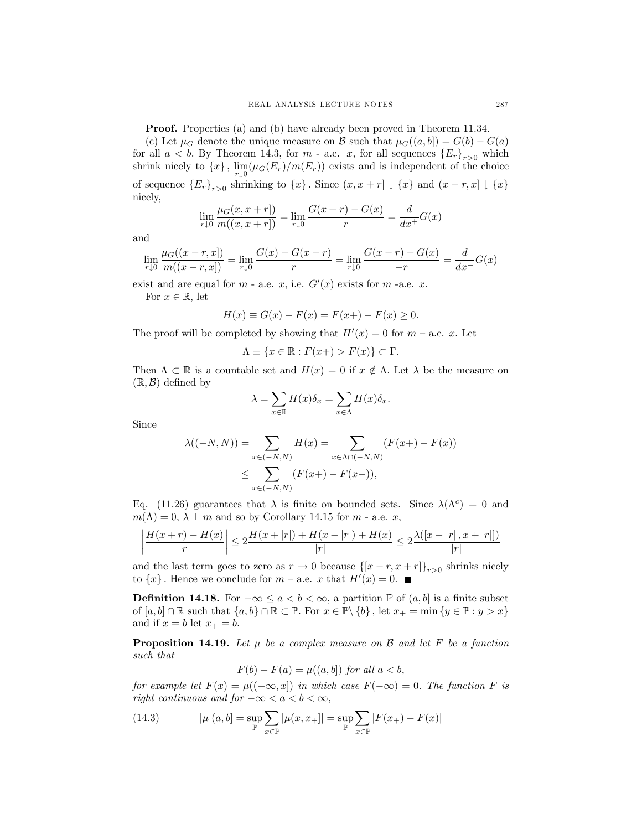Proof. Properties (a) and (b) have already been proved in Theorem 11.34.

(c) Let  $\mu_G$  denote the unique measure on B such that  $\mu_G((a, b]) = G(b) - G(a)$ for all  $a < b$ . By Theorem 14.3, for m - a.e. x, for all sequences  ${E_r}_{r>0}$  which shrink nicely to  $\{x\}$ ,  $\lim_{r\downarrow 0} (\mu_G(E_r)/m(E_r))$  exists and is independent of the choice of sequence  ${E_r}_{r>0}$  shrinking to  ${x}$ . Since  $(x, x + r] \downarrow {x}$  and  $(x - r, x] \downarrow {x}$ nicely,

$$
\lim_{r \downarrow 0} \frac{\mu_G(x, x + r]}{m((x, x + r])} = \lim_{r \downarrow 0} \frac{G(x + r) - G(x)}{r} = \frac{d}{dx^{+}} G(x)
$$

and

$$
\lim_{r \downarrow 0} \frac{\mu_G((x-r, x])}{m((x-r, x])} = \lim_{r \downarrow 0} \frac{G(x) - G(x-r)}{r} = \lim_{r \downarrow 0} \frac{G(x-r) - G(x)}{-r} = \frac{d}{dx^{-}}G(x)
$$

exist and are equal for  $m$  - a.e.  $x$ , i.e.  $G'(x)$  exists for  $m$  -a.e.  $x$ .

For  $x \in \mathbb{R}$ , let

$$
H(x) \equiv G(x) - F(x) = F(x+) - F(x) \ge 0.
$$

The proof will be completed by showing that  $H'(x) = 0$  for  $m - a.e.$  x. Let

$$
\Lambda \equiv \{x \in \mathbb{R} : F(x+) > F(x)\} \subset \Gamma.
$$

Then  $\Lambda \subset \mathbb{R}$  is a countable set and  $H(x)=0$  if  $x \notin \Lambda$ . Let  $\lambda$  be the measure on  $(\mathbb{R}, \mathcal{B})$  defined by

$$
\lambda = \sum_{x \in \mathbb{R}} H(x) \delta_x = \sum_{x \in \Lambda} H(x) \delta_x.
$$

Since

$$
\lambda((-N, N)) = \sum_{x \in (-N, N)} H(x) = \sum_{x \in \Lambda \cap (-N, N)} (F(x+) - F(x))
$$
  

$$
\leq \sum_{x \in (-N, N)} (F(x+) - F(x-)),
$$

Eq. (11.26) guarantees that  $\lambda$  is finite on bounded sets. Since  $\lambda(\Lambda^c)=0$  and  $m(\Lambda)=0, \lambda \perp m$  and so by Corollary 14.15 for m - a.e. x,

$$
\left| \frac{H(x+r) - H(x)}{r} \right| \leq 2 \frac{H(x+|r|) + H(x-|r|) + H(x)}{|r|} \leq 2 \frac{\lambda([x-|r|, x+|r|])}{|r|}
$$

and the last term goes to zero as  $r \to 0$  because  $\left\{ [x - r, x + r] \right\}_{r>0}$  shrinks nicely to  $\{x\}$ . Hence we conclude for  $m$  – a.e. x that  $H'(x) = 0$ .

**Definition 14.18.** For  $-\infty \le a < b < \infty$ , a partition **P** of  $(a, b]$  is a finite subset of  $[a, b] \cap \mathbb{R}$  such that  $\{a, b\} \cap \mathbb{R} \subset \mathbb{P}$ . For  $x \in \mathbb{P} \setminus \{b\}$ , let  $x_+ = \min \{y \in \mathbb{P} : y > x\}$ and if  $x = b$  let  $x_+ = b$ .

**Proposition 14.19.** Let  $\mu$  be a complex measure on B and let F be a function such that

 $F(b) - F(a) = \mu((a, b])$  for all  $a < b$ ,

for example let  $F(x) = \mu((-\infty, x])$  in which case  $F(-\infty) = 0$ . The function F is right continuous and for  $-\infty < a < b < \infty$ ,

(14.3) 
$$
|\mu|(a,b) = \sup_{\mathbb{P}} \sum_{x \in \mathbb{P}} |\mu(x, x_+)| = \sup_{\mathbb{P}} \sum_{x \in \mathbb{P}} |F(x_+) - F(x)|
$$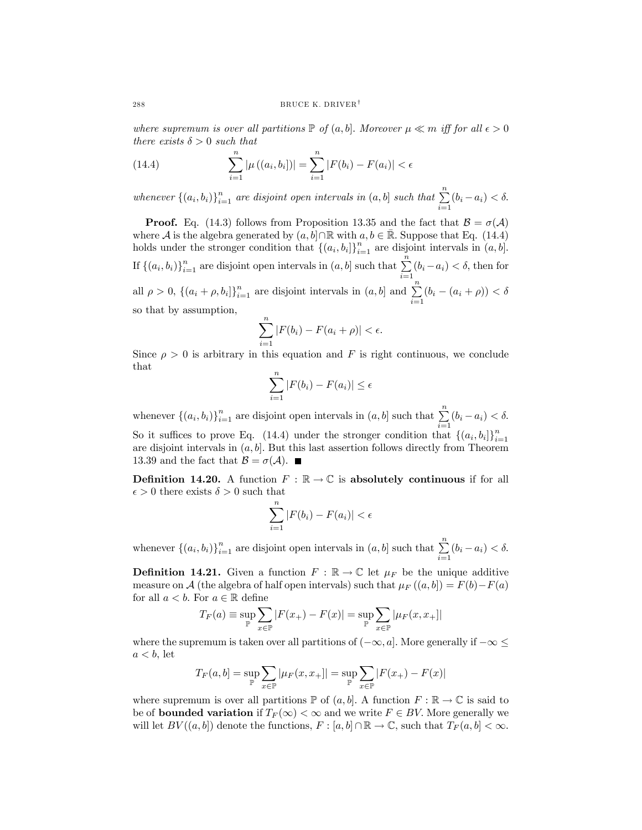where supremum is over all partitions  $\mathbb P$  of  $(a, b]$ . Moreover  $\mu \ll m$  iff for all  $\epsilon > 0$ there exists  $\delta > 0$  such that

(14.4) 
$$
\sum_{i=1}^{n} |\mu((a_i, b_i])| = \sum_{i=1}^{n} |F(b_i) - F(a_i)| < \epsilon
$$

whenever  $\{(a_i, b_i)\}_{i=1}^n$  are disjoint open intervals in  $(a, b]$  such that  $\sum_{i=1}^n (b_i - a_i) < \delta$ .

**Proof.** Eq. (14.3) follows from Proposition 13.35 and the fact that  $B = \sigma(A)$ where A is the algebra generated by  $(a, b] \cap \mathbb{R}$  with  $a, b \in \mathbb{R}$ . Suppose that Eq. (14.4) holds under the stronger condition that  $\{(a_i, b_i)\}_{i=1}^n$  are disjoint intervals in  $(a, b]$ . If  $\{(a_i, b_i)\}_{i=1}^n$  are disjoint open intervals in  $(a, b]$  such that  $\sum_{i=1}^n (b_i - a_i) < \delta$ , then for all  $\rho > 0$ ,  $\{(a_i + \rho, b_i)\}_{i=1}^n$  are disjoint intervals in  $(a, b]$  and  $\sum_{i=1}^n (b_i - (a_i + \rho)) < \delta$ so that by assumption,

$$
\sum_{i=1}^{n} |F(b_i) - F(a_i + \rho)| < \epsilon.
$$

Since  $\rho > 0$  is arbitrary in this equation and F is right continuous, we conclude that

$$
\sum_{i=1}^{n} |F(b_i) - F(a_i)| \le \epsilon
$$

whenever  $\{(a_i, b_i)\}_{i=1}^n$  are disjoint open intervals in  $(a, b]$  such that  $\sum_{i=1}^n (b_i - a_i) < \delta$ . So it suffices to prove Eq. (14.4) under the stronger condition that  $\{(a_i, b_i)\}_{i=1}^n$  $i=1$ 

are disjoint intervals in  $(a, b]$ . But this last assertion follows directly from Theorem 13.39 and the fact that  $\mathcal{B} = \sigma(\mathcal{A})$ .

**Definition 14.20.** A function  $F : \mathbb{R} \to \mathbb{C}$  is absolutely continuous if for all  $\epsilon > 0$  there exists  $\delta > 0$  such that

$$
\sum_{i=1}^{n} |F(b_i) - F(a_i)| < \epsilon
$$

whenever  $\{(a_i, b_i)\}_{i=1}^n$  are disjoint open intervals in  $(a, b]$  such that  $\sum_{i=1}^n (b_i - a_i) < \delta$ .

**Definition 14.21.** Given a function  $F : \mathbb{R} \to \mathbb{C}$  let  $\mu_F$  be the unique additive measure on A (the algebra of half open intervals) such that  $\mu_F((a, b]) = F(b) - F(a)$ for all  $a < b$ . For  $a \in \mathbb{R}$  define

$$
T_F(a) \equiv \sup_{\mathbb{P}} \sum_{x \in \mathbb{P}} |F(x_+) - F(x)| = \sup_{\mathbb{P}} \sum_{x \in \mathbb{P}} |\mu_F(x, x_+)|
$$

where the supremum is taken over all partitions of  $(-\infty, a]$ . More generally if  $-\infty$  $a < b$ , let

$$
T_F(a, b] = \sup_{\mathbb{P}} \sum_{x \in \mathbb{P}} |\mu_F(x, x_+]| = \sup_{\mathbb{P}} \sum_{x \in \mathbb{P}} |F(x_+) - F(x)|
$$

where supremum is over all partitions  $\mathbb P$  of  $(a, b]$ . A function  $F : \mathbb R \to \mathbb C$  is said to be of **bounded variation** if  $T_F(\infty) < \infty$  and we write  $F \in BV$ . More generally we will let  $BV((a, b])$  denote the functions,  $F : [a, b] \cap \mathbb{R} \to \mathbb{C}$ , such that  $T_F(a, b] < \infty$ .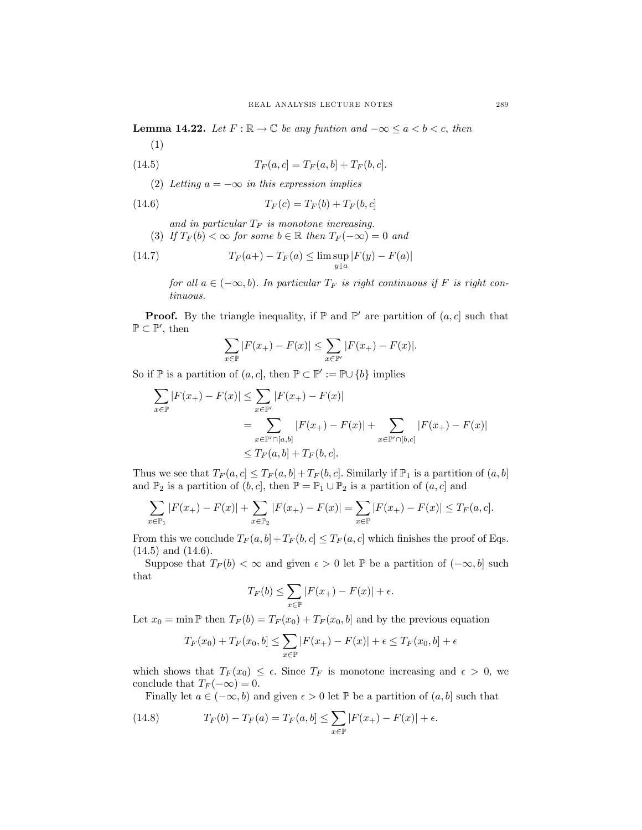**Lemma 14.22.** Let  $F : \mathbb{R} \to \mathbb{C}$  be any funtion and  $-\infty \le a < b < c$ , then (1)

(14.5) 
$$
T_F(a, c] = T_F(a, b] + T_F(b, c].
$$

(2) Letting  $a = -\infty$  in this expression implies

(14.6) 
$$
T_F(c) = T_F(b) + T_F(b, c)
$$

and in particular  $T_F$  is monotone increasing.

(3) If  $T_F(b) < \infty$  for some  $b \in \mathbb{R}$  then  $T_F(-\infty) = 0$  and

(14.7) 
$$
T_F(a+) - T_F(a) \leq \limsup_{y \downarrow a} |F(y) - F(a)|
$$

for all  $a \in (-\infty, b)$ . In particular  $T_F$  is right continuous if F is right continuous.

**Proof.** By the triangle inequality, if  $\mathbb{P}$  and  $\mathbb{P}'$  are partition of  $(a, c]$  such that  $\mathbb{P} \subset \mathbb{P}'$ , then

$$
\sum_{x \in \mathbb{P}} |F(x_+) - F(x)| \le \sum_{x \in \mathbb{P}'} |F(x_+) - F(x)|.
$$

So if  $\mathbb P$  is a partition of  $(a, c]$ , then  $\mathbb P \subset \mathbb P' := \mathbb P \cup \{b\}$  implies

$$
\sum_{x \in \mathbb{P}} |F(x_+) - F(x)| \le \sum_{x \in \mathbb{P}'} |F(x_+) - F(x)|
$$
  
= 
$$
\sum_{x \in \mathbb{P}' \cap [a,b]} |F(x_+) - F(x)| + \sum_{x \in \mathbb{P}' \cap [b,c]} |F(x_+) - F(x)|
$$
  

$$
\le T_F(a, b] + T_F(b, c].
$$

Thus we see that  $T_F(a, c] \leq T_F(a, b] + T_F(b, c]$ . Similarly if  $\mathbb{P}_1$  is a partition of  $(a, b]$ and  $\mathbb{P}_2$  is a partition of  $(b, c]$ , then  $\mathbb{P} = \mathbb{P}_1 \cup \mathbb{P}_2$  is a partition of  $(a, c]$  and

$$
\sum_{x \in \mathbb{P}_1} |F(x_+) - F(x)| + \sum_{x \in \mathbb{P}_2} |F(x_+) - F(x)| = \sum_{x \in \mathbb{P}} |F(x_+) - F(x)| \le T_F(a, c).
$$

From this we conclude  $T_F(a, b]+T_F(b, c] \leq T_F(a, c]$  which finishes the proof of Eqs.  $(14.5)$  and  $(14.6)$ .

Suppose that  $T_F(b) < \infty$  and given  $\epsilon > 0$  let  $\mathbb P$  be a partition of  $(-\infty, b]$  such that

$$
T_F(b) \le \sum_{x \in \mathbb{P}} |F(x_+) - F(x)| + \epsilon.
$$

Let  $x_0 = \min \mathbb{P}$  then  $T_F(b) = T_F(x_0) + T_F(x_0, b]$  and by the previous equation

$$
T_F(x_0) + T_F(x_0, b] \le \sum_{x \in \mathbb{P}} |F(x_+) - F(x)| + \epsilon \le T_F(x_0, b] + \epsilon
$$

which shows that  $T_F(x_0) \leq \epsilon$ . Since  $T_F$  is monotone increasing and  $\epsilon > 0$ , we conclude that  $T_F(-\infty)=0$ .

Finally let  $a \in (-\infty, b)$  and given  $\epsilon > 0$  let  $\mathbb P$  be a partition of  $(a, b]$  such that

(14.8) 
$$
T_F(b) - T_F(a) = T_F(a, b] \le \sum_{x \in \mathbb{P}} |F(x_+) - F(x)| + \epsilon.
$$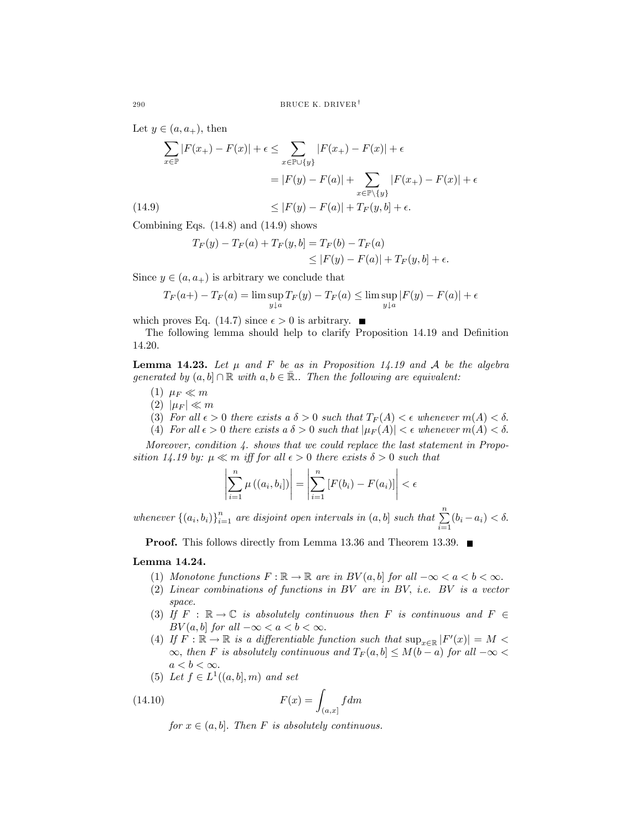Let  $y \in (a, a_+)$ , then

$$
\sum_{x \in \mathbb{P}} |F(x_+) - F(x)| + \epsilon \le \sum_{x \in \mathbb{P} \cup \{y\}} |F(x_+) - F(x)| + \epsilon
$$
  
= |F(y) - F(a)| + 
$$
\sum_{x \in \mathbb{P} \setminus \{y\}} |F(x_+) - F(x)| + \epsilon
$$
  
(14.9) 
$$
\le |F(y) - F(a)| + T_F(y, b) + \epsilon.
$$

Combining Eqs. (14.8) and (14.9) shows

$$
T_F(y) - T_F(a) + T_F(y, b) = T_F(b) - T_F(a)
$$
  
\n
$$
\leq |F(y) - F(a)| + T_F(y, b) + \epsilon.
$$

Since  $y \in (a, a_+)$  is arbitrary we conclude that

$$
T_F(a+) - T_F(a) = \limsup_{y \downarrow a} T_F(y) - T_F(a) \le \limsup_{y \downarrow a} |F(y) - F(a)| + \epsilon
$$

which proves Eq. (14.7) since  $\epsilon > 0$  is arbitrary.

The following lemma should help to clarify Proposition 14.19 and Definition 14.20.

**Lemma 14.23.** Let  $\mu$  and F be as in Proposition 14.19 and A be the algebra generated by  $(a, b] \cap \mathbb{R}$  with  $a, b \in \overline{\mathbb{R}}$ . Then the following are equivalent:

- (1)  $\mu_F \ll m$
- $(2)$   $|\mu_F| \ll m$
- (3) For all  $\epsilon > 0$  there exists a  $\delta > 0$  such that  $T_F(A) < \epsilon$  whenever  $m(A) < \delta$ .
- (4) For all  $\epsilon > 0$  there exists a  $\delta > 0$  such that  $|\mu_F(A)| < \epsilon$  whenever  $m(A) < \delta$ .

Moreover, condition 4. shows that we could replace the last statement in Proposition 14.19 by:  $\mu \ll m$  iff for all  $\epsilon > 0$  there exists  $\delta > 0$  such that

$$
\left|\sum_{i=1}^n \mu((a_i, b_i])\right| = \left|\sum_{i=1}^n [F(b_i) - F(a_i)]\right| < \epsilon
$$

whenever  $\{(a_i, b_i)\}_{i=1}^n$  are disjoint open intervals in  $(a, b]$  such that  $\sum_{i=1}^n (b_i - a_i) < \delta$ .

**Proof.** This follows directly from Lemma 13.36 and Theorem 13.39. ■

# Lemma 14.24.

- (1) Monotone functions  $F : \mathbb{R} \to \mathbb{R}$  are in  $BV(a, b]$  for all  $-\infty < a < b < \infty$ .
- (2) Linear combinations of functions in BV are in BV, i.e. BV is a vector space.
- (3) If  $F : \mathbb{R} \to \mathbb{C}$  is absolutely continuous then F is continuous and  $F \in$  $BV(a, b)$  for all  $-\infty < a < b < \infty$ .
- (4) If  $F : \mathbb{R} \to \mathbb{R}$  is a differentiable function such that  $\sup_{x \in \mathbb{R}} |F'(x)| = M <$  $\infty$ , then F is absolutely continuous and  $T_F(a, b) \leq M(b - a)$  for all  $-\infty$  $a < b < \infty$ .
- (5) Let  $f \in L^1((a, b], m)$  and set

(14.10) 
$$
F(x) = \int_{(a,x]} f dm
$$

for  $x \in (a, b]$ . Then F is absolutely continuous.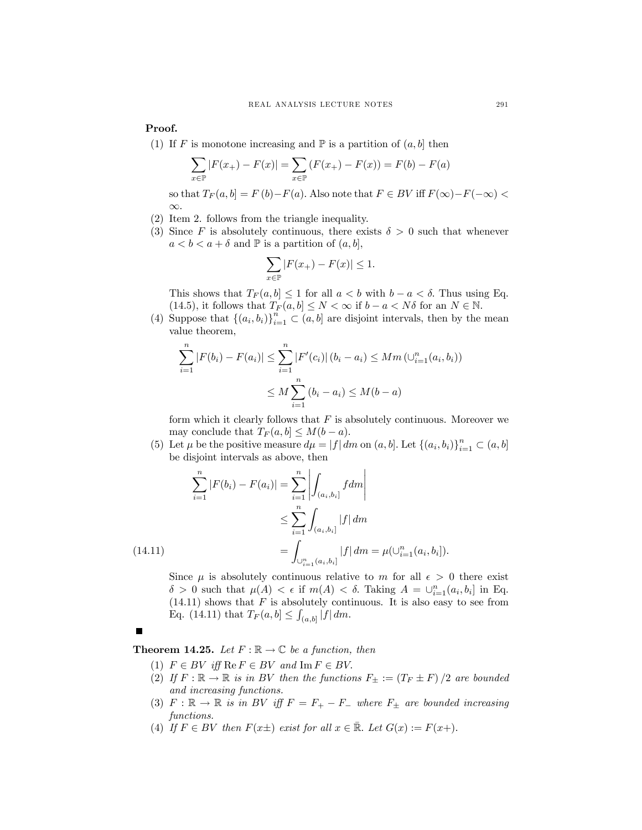Proof.

(1) If F is monotone increasing and  $\mathbb P$  is a partition of  $(a, b]$  then

$$
\sum_{x \in \mathbb{P}} |F(x_+) - F(x)| = \sum_{x \in \mathbb{P}} (F(x_+) - F(x)) = F(b) - F(a)
$$

so that  $T_F(a, b] = F(b) - F(a)$ . Also note that  $F \in BV$  iff  $F(\infty) - F(-\infty)$ ∞.

- (2) Item 2. follows from the triangle inequality.
- (3) Since F is absolutely continuous, there exists  $\delta > 0$  such that whenever  $a < b < a + \delta$  and  $\mathbb P$  is a partition of  $(a, b]$ ,

$$
\sum_{x \in \mathbb{P}} |F(x_+) - F(x)| \le 1.
$$

This shows that  $T_F(a, b] \leq 1$  for all  $a < b$  with  $b - a < \delta$ . Thus using Eq. (14.5), it follows that  $T_F(a, b] \leq N < \infty$  if  $b - a < N\delta$  for an  $N \in \mathbb{N}$ .

(4) Suppose that  $\{(a_i, b_i)\}_{i=1}^n \subset (a, b]$  are disjoint intervals, then by the mean value theorem,

$$
\sum_{i=1}^{n} |F(b_i) - F(a_i)| \le \sum_{i=1}^{n} |F'(c_i)| (b_i - a_i) \le Mm (\cup_{i=1}^{n} (a_i, b_i))
$$
  

$$
\le M \sum_{i=1}^{n} (b_i - a_i) \le M(b - a)
$$

form which it clearly follows that  $F$  is absolutely continuous. Moreover we may conclude that  $T_F(a, b] \leq M(b - a)$ .

(5) Let  $\mu$  be the positive measure  $d\mu = |f| dm$  on  $(a, b]$ . Let  $\{(a_i, b_i)\}_{i=1}^n \subset (a, b]$ be disjoint intervals as above, then

$$
\sum_{i=1}^{n} |F(b_i) - F(a_i)| = \sum_{i=1}^{n} \left| \int_{(a_i, b_i]} f dm \right|
$$
  

$$
\leq \sum_{i=1}^{n} \int_{(a_i, b_i]} |f| dm
$$
  
(14.11)  

$$
= \int_{\bigcup_{i=1}^{n} (a_i, b_i]} |f| dm = \mu(\bigcup_{i=1}^{n} (a_i, b_i]).
$$

Since  $\mu$  is absolutely continuous relative to m for all  $\epsilon > 0$  there exist  $\delta > 0$  such that  $\mu(A) < \epsilon$  if  $m(A) < \delta$ . Taking  $A = \bigcup_{i=1}^{n} (a_i, b_i]$  in Eq.  $(14.11)$  shows that F is absolutely continuous. It is also easy to see from Eq. (14.11) that  $T_F(a, b] \leq \int_{(a, b]} |f| dm$ .

**Theorem 14.25.** Let  $F : \mathbb{R} \to \mathbb{C}$  be a function, then

- (1)  $F \in BV$  iff  $\text{Re } F \in BV$  and  $\text{Im } F \in BV$ .
- (2) If  $F : \mathbb{R} \to \mathbb{R}$  is in BV then the functions  $F_{\pm} := (T_F \pm F)/2$  are bounded and increasing functions.
- (3)  $F : \mathbb{R} \to \mathbb{R}$  is in BV iff  $F = F_+ F_-$  where  $F_{\pm}$  are bounded increasing functions.
- (4) If  $F \in BV$  then  $F(x\pm)$  exist for all  $x \in \mathbb{R}$ . Let  $G(x) := F(x+)$ .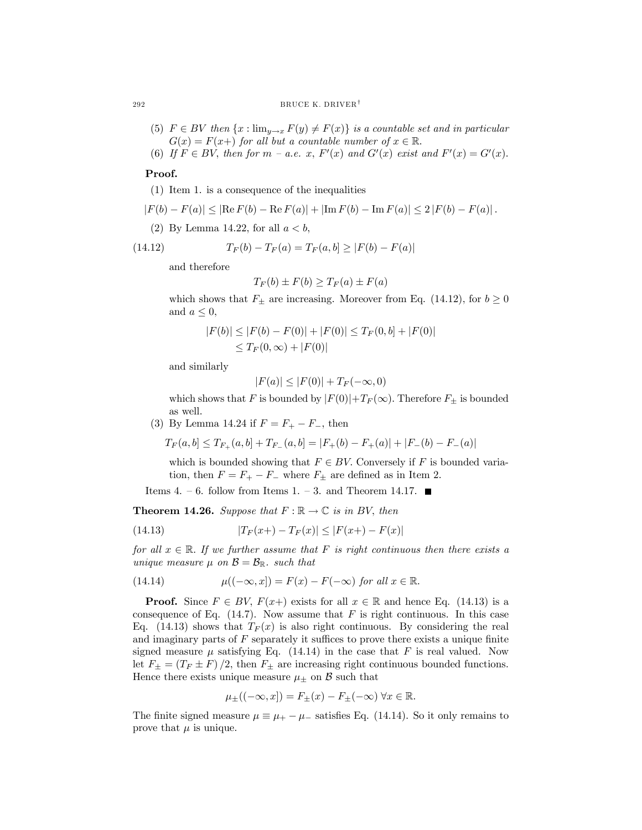#### 292 BRUCE K. DRIVER<sup>†</sup>

- (5)  $F \in BV$  then  $\{x : \lim_{y\to x} F(y) \neq F(x)\}$  is a countable set and in particular  $G(x) = F(x+)$  for all but a countable number of  $x \in \mathbb{R}$ .
- (6) If  $F \in BV$ , then for  $m a.e.$  x,  $F'(x)$  and  $G'(x)$  exist and  $F'(x) = G'(x)$ .

## Proof.

(1) Item 1. is a consequence of the inequalities

$$
|F(b) - F(a)| \leq |\text{Re}\,F(b) - \text{Re}\,F(a)| + |\text{Im}\,F(b) - \text{Im}\,F(a)| \leq 2\,|F(b) - F(a)|.
$$

(2) By Lemma 14.22, for all  $a < b$ ,

(14.12) 
$$
T_F(b) - T_F(a) = T_F(a, b] \ge |F(b) - F(a)|
$$

and therefore

$$
T_F(b) \pm F(b) \ge T_F(a) \pm F(a)
$$

which shows that  $F_{\pm}$  are increasing. Moreover from Eq. (14.12), for  $b \ge 0$ and  $a \leq 0$ ,

$$
|F(b)| \le |F(b) - F(0)| + |F(0)| \le T_F(0, b] + |F(0)|
$$
  

$$
\le T_F(0, \infty) + |F(0)|
$$

and similarly

$$
|F(a)| \le |F(0)| + T_F(-\infty, 0)
$$

which shows that F is bounded by  $|F(0)|+T_F(\infty)$ . Therefore  $F_{\pm}$  is bounded as well.

(3) By Lemma 14.24 if  $F = F_+ - F_-,$  then

$$
T_F(a,b] \le T_{F_+}(a,b] + T_{F_-}(a,b) = |F_+(b) - F_+(a)| + |F_-(b) - F_-(a)|
$$

which is bounded showing that  $F \in BV$ . Conversely if F is bounded variation, then  $F = F_+ - F_-$  where  $F_{\pm}$  are defined as in Item 2.

Items 4. – 6. follow from Items 1. – 3. and Theorem 14.17.  $\blacksquare$ 

**Theorem 14.26.** Suppose that  $F : \mathbb{R} \to \mathbb{C}$  is in BV, then

(14.13) 
$$
|T_F(x+) - T_F(x)| \le |F(x+) - F(x)|
$$

for all  $x \in \mathbb{R}$ . If we further assume that F is right continuous then there exists a unique measure  $\mu$  on  $\mathcal{B} = \mathcal{B}_{\mathbb{R}}$ . such that

(14.14) 
$$
\mu((-\infty, x]) = F(x) - F(-\infty) \text{ for all } x \in \mathbb{R}.
$$

**Proof.** Since  $F \in BV$ ,  $F(x+)$  exists for all  $x \in \mathbb{R}$  and hence Eq. (14.13) is a consequence of Eq.  $(14.7)$ . Now assume that F is right continuous. In this case Eq. (14.13) shows that  $T_F(x)$  is also right continuous. By considering the real and imaginary parts of  $F$  separately it suffices to prove there exists a unique finite signed measure  $\mu$  satisfying Eq. (14.14) in the case that F is real valued. Now let  $F_{\pm} = (T_F \pm F)/2$ , then  $F_{\pm}$  are increasing right continuous bounded functions. Hence there exists unique measure  $\mu_{\pm}$  on B such that

$$
\mu_{\pm}((-\infty, x]) = F_{\pm}(x) - F_{\pm}(-\infty) \,\forall x \in \mathbb{R}.
$$

The finite signed measure  $\mu \equiv \mu_+ - \mu_-$  satisfies Eq. (14.14). So it only remains to prove that  $\mu$  is unique.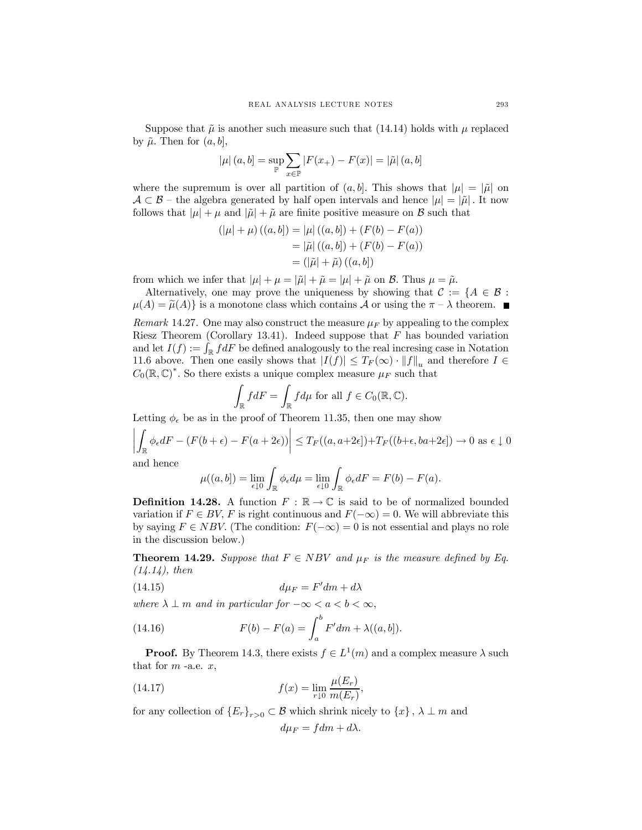Suppose that  $\tilde{\mu}$  is another such measure such that (14.14) holds with  $\mu$  replaced by  $\tilde{\mu}$ . Then for  $(a, b]$ ,

$$
|\mu|(a, b) = \sup_{\mathbb{P}} \sum_{x \in \mathbb{P}} |F(x_{+}) - F(x)| = |\tilde{\mu}| (a, b)
$$

where the supremum is over all partition of  $(a, b]$ . This shows that  $|\mu| = |\tilde{\mu}|$  on  $A \subset B$  – the algebra generated by half open intervals and hence  $|\mu| = |\tilde{\mu}|$ . It now follows that  $|\mu| + \mu$  and  $|\tilde{\mu}| + \tilde{\mu}$  are finite positive measure on B such that

$$
(|\mu| + \mu) ((a, b]) = |\mu| ((a, b]) + (F(b) - F(a))
$$
  
=  $|\tilde{\mu}| ((a, b]) + (F(b) - F(a))$   
=  $(|\tilde{\mu}| + \tilde{\mu}) ((a, b])$ 

from which we infer that  $|\mu| + \mu = |\tilde{\mu}| + \tilde{\mu} = |\mu| + \tilde{\mu}$  on B. Thus  $\mu = \tilde{\mu}$ .

Alternatively, one may prove the uniqueness by showing that  $\mathcal{C} := \{A \in \mathcal{B} :$  $\mu(A) = \tilde{\mu}(A)$  is a monotone class which contains A or using the  $\pi - \lambda$  theorem.

Remark 14.27. One may also construct the measure  $\mu_F$  by appealing to the complex Riesz Theorem (Corollary 13.41). Indeed suppose that  $F$  has bounded variation and let  $I(f) := \int_{\mathbb{R}} f dF$  be defined analogously to the real increasing case in Notation 11.6 above. Then one easily shows that  $|I(f)| \leq T_F(\infty) \cdot ||f||_u$  and therefore  $I \in$  $C_0(\mathbb{R}, \mathbb{C})^*$ . So there exists a unique complex measure  $\mu_F$  such that

$$
\int_{\mathbb{R}} f dF = \int_{\mathbb{R}} f d\mu \text{ for all } f \in C_0(\mathbb{R}, \mathbb{C}).
$$

Letting  $\phi_{\epsilon}$  be as in the proof of Theorem 11.35, then one may show

$$
\left| \int_{\mathbb{R}} \phi_{\epsilon} dF - (F(b + \epsilon) - F(a + 2\epsilon)) \right| \le T_F((a, a + 2\epsilon]) + T_F((b + \epsilon, ba + 2\epsilon]) \to 0 \text{ as } \epsilon \downarrow 0
$$

and hence

$$
\mu((a,b]) = \lim_{\epsilon \downarrow 0} \int_{\mathbb{R}} \phi_{\epsilon} d\mu = \lim_{\epsilon \downarrow 0} \int_{\mathbb{R}} \phi_{\epsilon} dF = F(b) - F(a).
$$

**Definition 14.28.** A function  $F : \mathbb{R} \to \mathbb{C}$  is said to be of normalized bounded variation if  $F \in BV$ , F is right continuous and  $F(-\infty)=0$ . We will abbreviate this by saying  $F \in NBV$ . (The condition:  $F(-\infty)=0$  is not essential and plays no role in the discussion below.)

**Theorem 14.29.** Suppose that  $F \in NBV$  and  $\mu_F$  is the measure defined by Eq.  $(14.14)$ , then

(14.15) 
$$
d\mu_F = F'dm + d\lambda
$$

where  $\lambda \perp m$  and in particular for  $-\infty < a < b < \infty$ ,

(14.16) 
$$
F(b) - F(a) = \int_{a}^{b} F'dm + \lambda((a, b]).
$$

**Proof.** By Theorem 14.3, there exists  $f \in L^1(m)$  and a complex measure  $\lambda$  such that for  $m$  -a.e.  $x$ ,

(14.17) 
$$
f(x) = \lim_{r \downarrow 0} \frac{\mu(E_r)}{m(E_r)},
$$

for any collection of  ${E_r}_{r>0} \subset \mathcal{B}$  which shrink nicely to  ${x}$ ,  $\lambda \perp m$  and

$$
d\mu_F = f dm + d\lambda.
$$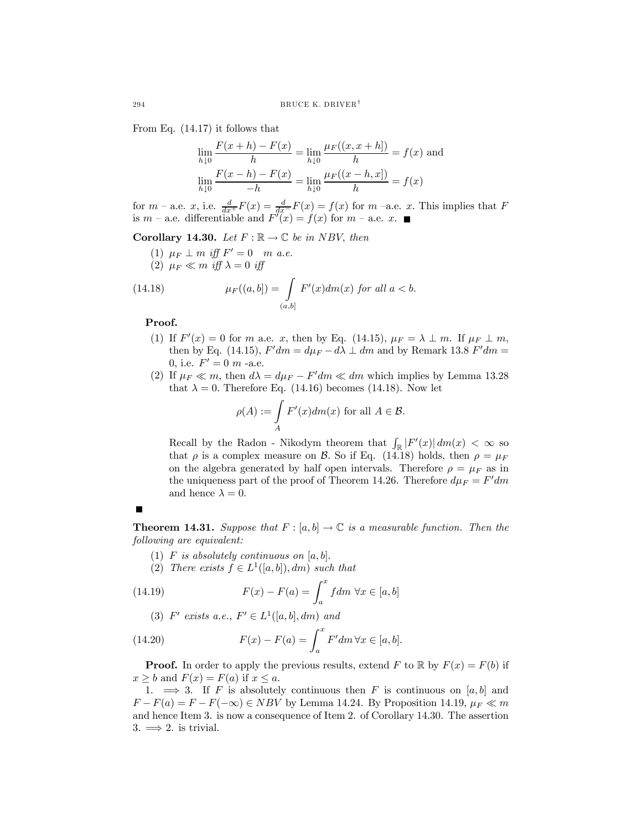From Eq. (14.17) it follows that

$$
\lim_{h \downarrow 0} \frac{F(x+h) - F(x)}{h} = \lim_{h \downarrow 0} \frac{\mu_F((x, x+h])}{h} = f(x) \text{ and}
$$

$$
\lim_{h \downarrow 0} \frac{F(x-h) - F(x)}{-h} = \lim_{h \downarrow 0} \frac{\mu_F((x-h, x])}{h} = f(x)
$$

for  $m$  – a.e. x, i.e.  $\frac{d}{dx}F(x) = \frac{d}{dx}F(x) = f(x)$  for  $m$  –a.e. x. This implies that F is  $m$  – a.e. differentiable and  $F'(x) = f(x)$  for  $m$  – a.e. x.

Corollary 14.30. Let  $F : \mathbb{R} \to \mathbb{C}$  be in NBV, then

(1)  $\mu_F \perp m$  iff  $F' = 0$  m a.e. (2)  $\mu_F \ll m$  iff  $\lambda = 0$  iff

(14.18) 
$$
\mu_F((a,b]) = \int\limits_{(a,b]} F'(x) dm(x) \text{ for all } a < b.
$$

Proof.

- (1) If  $F'(x)=0$  for m a.e. x, then by Eq. (14.15),  $\mu_F = \lambda \perp m$ . If  $\mu_F \perp m$ , then by Eq. (14.15),  $F'dm = d\mu_F - d\lambda \perp dm$  and by Remark 13.8  $F'dm =$ 0, i.e.  $F' = 0$  m -a.e.
- (2) If  $\mu_F \ll m$ , then  $d\lambda = d\mu_F F'dm \ll dm$  which implies by Lemma 13.28 that  $\lambda = 0$ . Therefore Eq. (14.16) becomes (14.18). Now let

$$
\rho(A) := \int_A F'(x) dm(x) \text{ for all } A \in \mathcal{B}.
$$

Recall by the Radon - Nikodym theorem that  $\int_{\mathbb{R}} |F'(x)| dm(x) < \infty$  so that  $\rho$  is a complex measure on B. So if Eq. (14.18) holds, then  $\rho = \mu_F$ on the algebra generated by half open intervals. Therefore  $\rho = \mu_F$  as in the uniqueness part of the proof of Theorem 14.26. Therefore  $d\mu_F = F'dm$ and hence  $\lambda = 0$ .



**Theorem 14.31.** Suppose that  $F : [a, b] \to \mathbb{C}$  is a measurable function. Then the following are equivalent:

- (1) F is absolutely continuous on  $[a, b]$ .
- (2) There exists  $f \in L^1([a, b]), dm$  such that

(14.19) 
$$
F(x) - F(a) = \int_{a}^{x} f dm \,\forall x \in [a, b]
$$

(3)  $F'$  exists a.e.,  $F' \in L^1([a, b], dm)$  and

(14.20) 
$$
F(x) - F(a) = \int_{a}^{x} F' dm \,\forall x \in [a, b].
$$

**Proof.** In order to apply the previous results, extend F to R by  $F(x) = F(b)$  if  $x \geq b$  and  $F(x) = F(a)$  if  $x \leq a$ .

1.  $\implies$  3. If F is absolutely continuous then F is continuous on [a, b] and  $F - F(a) = F - F(-\infty) \in NBV$  by Lemma 14.24. By Proposition 14.19,  $\mu_F \ll m$ and hence Item 3. is now a consequence of Item 2. of Corollary 14.30. The assertion 3.  $\implies$  2. is trivial.